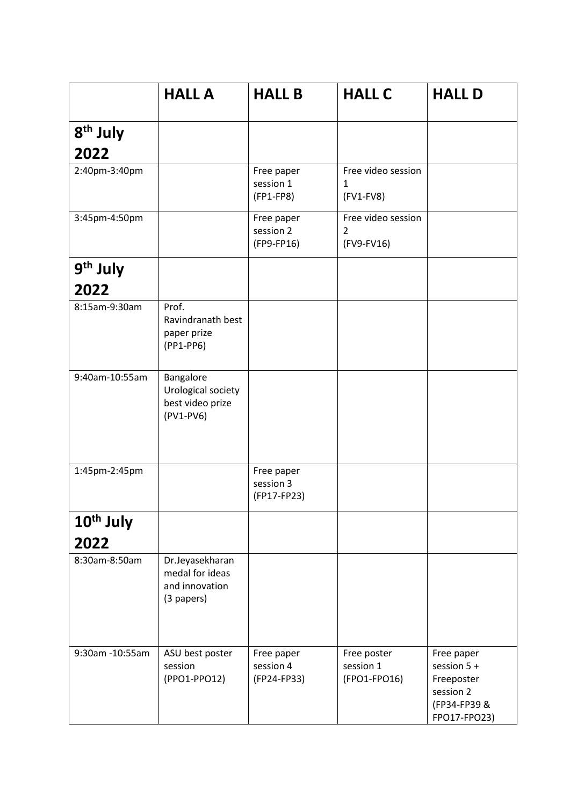|                              | <b>HALL A</b>                                                      | <b>HALL B</b>                          | <b>HALL C</b>                                      | <b>HALL D</b>                                                                        |
|------------------------------|--------------------------------------------------------------------|----------------------------------------|----------------------------------------------------|--------------------------------------------------------------------------------------|
| 8 <sup>th</sup> July         |                                                                    |                                        |                                                    |                                                                                      |
| 2022                         |                                                                    |                                        |                                                    |                                                                                      |
| 2:40pm-3:40pm                |                                                                    | Free paper<br>session 1<br>(FP1-FP8)   | Free video session<br>$\mathbf{1}$<br>$(FV1-FV8)$  |                                                                                      |
| 3:45pm-4:50pm                |                                                                    | Free paper<br>session 2<br>(FP9-FP16)  | Free video session<br>$\overline{2}$<br>(FV9-FV16) |                                                                                      |
| 9 <sup>th</sup> July<br>2022 |                                                                    |                                        |                                                    |                                                                                      |
| 8:15am-9:30am                | Prof.<br>Ravindranath best<br>paper prize<br>(PP1-PP6)             |                                        |                                                    |                                                                                      |
| 9:40am-10:55am               | Bangalore<br>Urological society<br>best video prize<br>$(PV1-PV6)$ |                                        |                                                    |                                                                                      |
| 1:45pm-2:45pm                |                                                                    | Free paper<br>session 3<br>(FP17-FP23) |                                                    |                                                                                      |
| 10 <sup>th</sup> July        |                                                                    |                                        |                                                    |                                                                                      |
| 2022                         |                                                                    |                                        |                                                    |                                                                                      |
| 8:30am-8:50am                | Dr.Jeyasekharan<br>medal for ideas<br>and innovation<br>(3 papers) |                                        |                                                    |                                                                                      |
| 9:30am -10:55am              | ASU best poster<br>session<br>(PPO1-PPO12)                         | Free paper<br>session 4<br>(FP24-FP33) | Free poster<br>session 1<br>(FPO1-FPO16)           | Free paper<br>session 5 +<br>Freeposter<br>session 2<br>(FP34-FP39 &<br>FPO17-FPO23) |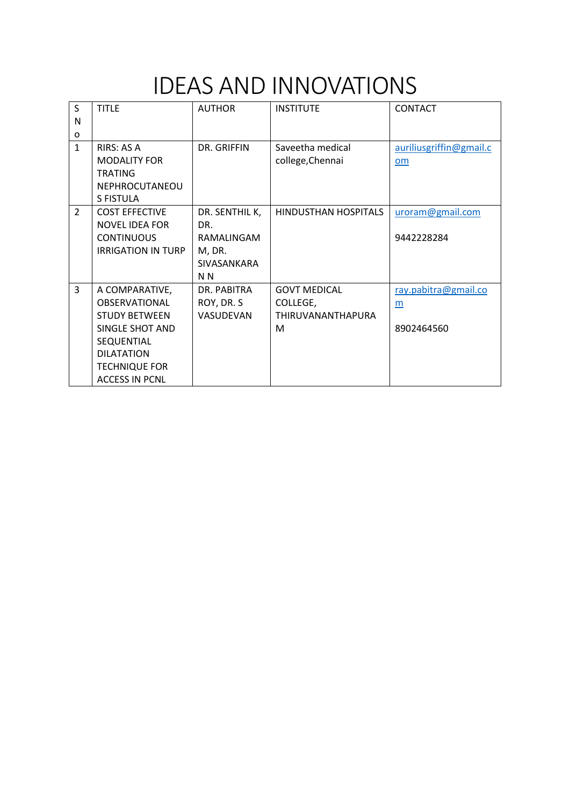### IDEAS AND INNOVATIONS

| S              | <b>TITLE</b>              | <b>AUTHOR</b>  | <b>INSTITUTE</b>         | <b>CONTACT</b>          |
|----------------|---------------------------|----------------|--------------------------|-------------------------|
| N              |                           |                |                          |                         |
| 0              |                           |                |                          |                         |
| $\mathbf{1}$   | RIRS: AS A                | DR. GRIFFIN    | Saveetha medical         | auriliusgriffin@gmail.c |
|                | <b>MODALITY FOR</b>       |                | college, Chennai         | om                      |
|                | <b>TRATING</b>            |                |                          |                         |
|                | NEPHROCUTANEOU            |                |                          |                         |
|                | S FISTULA                 |                |                          |                         |
| $\overline{2}$ | <b>COST EFFECTIVE</b>     | DR. SENTHIL K, | HINDUSTHAN HOSPITALS     | uroram@gmail.com        |
|                | <b>NOVEL IDEA FOR</b>     | DR.            |                          |                         |
|                | <b>CONTINUOUS</b>         | RAMALINGAM     |                          | 9442228284              |
|                | <b>IRRIGATION IN TURP</b> | M, DR.         |                          |                         |
|                |                           | SIVASANKARA    |                          |                         |
|                |                           | N N            |                          |                         |
| 3              | A COMPARATIVE,            | DR. PABITRA    | <b>GOVT MEDICAL</b>      | ray.pabitra@gmail.co    |
|                | <b>OBSERVATIONAL</b>      | ROY, DR. S     | COLLEGE,                 | m                       |
|                | <b>STUDY BETWEEN</b>      | VASUDEVAN      | <b>THIRUVANANTHAPURA</b> |                         |
|                | SINGLE SHOT AND           |                | M                        | 8902464560              |
|                | SEQUENTIAL                |                |                          |                         |
|                | <b>DILATATION</b>         |                |                          |                         |
|                | <b>TECHNIQUE FOR</b>      |                |                          |                         |
|                | <b>ACCESS IN PCNL</b>     |                |                          |                         |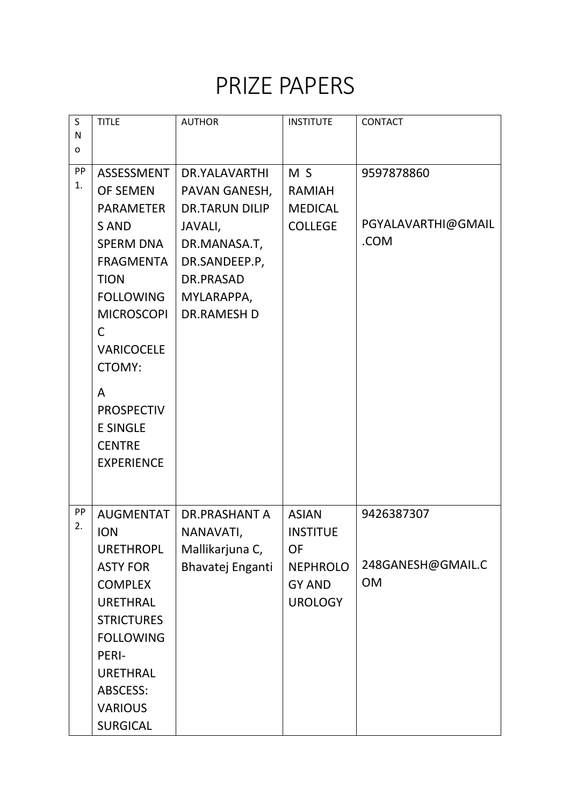#### PRIZE PAPERS

| S<br>N   | <b>TITLE</b>                                                                                                                                                                                                                                 | <b>AUTHOR</b>                                                                                                                                        | <b>INSTITUTE</b>                                                                                   | CONTACT                                      |
|----------|----------------------------------------------------------------------------------------------------------------------------------------------------------------------------------------------------------------------------------------------|------------------------------------------------------------------------------------------------------------------------------------------------------|----------------------------------------------------------------------------------------------------|----------------------------------------------|
| o        |                                                                                                                                                                                                                                              |                                                                                                                                                      |                                                                                                    |                                              |
| PP<br>1. | <b>ASSESSMENT</b><br><b>OF SEMEN</b><br><b>PARAMETER</b><br><b>SAND</b><br><b>SPERM DNA</b><br><b>FRAGMENTA</b><br><b>TION</b><br><b>FOLLOWING</b><br><b>MICROSCOPI</b><br>C<br><b>VARICOCELE</b><br><b>CTOMY:</b><br>A<br><b>PROSPECTIV</b> | DR.YALAVARTHI<br>PAVAN GANESH,<br><b>DR.TARUN DILIP</b><br>JAVALI,<br>DR.MANASA.T,<br>DR.SANDEEP.P,<br>DR.PRASAD<br>MYLARAPPA,<br><b>DR.RAMESH D</b> | M <sub>S</sub><br><b>RAMIAH</b><br><b>MEDICAL</b><br><b>COLLEGE</b>                                | 9597878860<br>PGYALAVARTHI@GMAIL<br>.COM     |
|          | <b>E SINGLE</b><br><b>CENTRE</b><br><b>EXPERIENCE</b>                                                                                                                                                                                        |                                                                                                                                                      |                                                                                                    |                                              |
| PP<br>2. | <b>AUGMENTAT</b><br><b>ION</b><br><b>URETHROPL</b><br><b>ASTY FOR</b><br><b>COMPLEX</b><br><b>URETHRAL</b><br><b>STRICTURES</b><br><b>FOLLOWING</b><br>PERI-<br><b>URETHRAL</b><br><b>ABSCESS:</b><br><b>VARIOUS</b><br><b>SURGICAL</b>      | DR.PRASHANT A<br>NANAVATI,<br>Mallikarjuna C,<br>Bhavatej Enganti                                                                                    | <b>ASIAN</b><br><b>INSTITUE</b><br><b>OF</b><br><b>NEPHROLO</b><br><b>GY AND</b><br><b>UROLOGY</b> | 9426387307<br>248GANESH@GMAIL.C<br><b>OM</b> |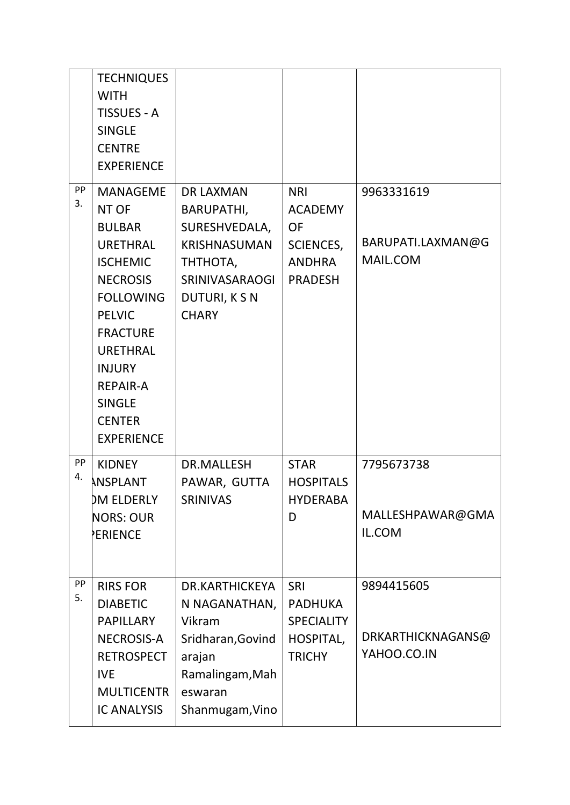|          | <b>TECHNIQUES</b><br><b>WITH</b><br><b>TISSUES - A</b><br><b>SINGLE</b><br><b>CENTRE</b><br><b>EXPERIENCE</b>                                                                                                                                                            |                                                                                                                                              |                                                                                                  |                                                |
|----------|--------------------------------------------------------------------------------------------------------------------------------------------------------------------------------------------------------------------------------------------------------------------------|----------------------------------------------------------------------------------------------------------------------------------------------|--------------------------------------------------------------------------------------------------|------------------------------------------------|
| PP<br>3. | <b>MANAGEME</b><br>NT OF<br><b>BULBAR</b><br><b>URETHRAL</b><br><b>ISCHEMIC</b><br><b>NECROSIS</b><br><b>FOLLOWING</b><br><b>PELVIC</b><br><b>FRACTURE</b><br><b>URETHRAL</b><br><b>INJURY</b><br><b>REPAIR-A</b><br><b>SINGLE</b><br><b>CENTER</b><br><b>EXPERIENCE</b> | <b>DR LAXMAN</b><br><b>BARUPATHI,</b><br>SURESHVEDALA,<br><b>KRISHNASUMAN</b><br>ТНТНОТА,<br>SRINIVASARAOGI<br>DUTURI, K S N<br><b>CHARY</b> | <b>NRI</b><br><b>ACADEMY</b><br><b>OF</b><br><b>SCIENCES,</b><br><b>ANDHRA</b><br><b>PRADESH</b> | 9963331619<br>BARUPATI.LAXMAN@G<br>MAIL.COM    |
| PP<br>4. | <b>KIDNEY</b><br>ANSPLANT<br>DM ELDERLY<br><b>NORS: OUR</b><br>PERIENCE                                                                                                                                                                                                  | DR.MALLESH<br>PAWAR, GUTTA<br><b>SRINIVAS</b>                                                                                                | <b>STAR</b><br><b>HOSPITALS</b><br><b>HYDERABA</b><br>D                                          | 7795673738<br>MALLESHPAWAR@GMA<br>IL.COM       |
| PP<br>5. | <b>RIRS FOR</b><br><b>DIABETIC</b><br><b>PAPILLARY</b><br><b>NECROSIS-A</b><br><b>RETROSPECT</b><br><b>IVE</b><br><b>MULTICENTR</b><br><b>IC ANALYSIS</b>                                                                                                                | DR.KARTHICKEYA<br>N NAGANATHAN,<br>Vikram<br>Sridharan, Govind<br>arajan<br>Ramalingam, Mah<br>eswaran<br>Shanmugam, Vino                    | <b>SRI</b><br><b>PADHUKA</b><br><b>SPECIALITY</b><br>HOSPITAL,<br><b>TRICHY</b>                  | 9894415605<br>DRKARTHICKNAGANS@<br>YAHOO.CO.IN |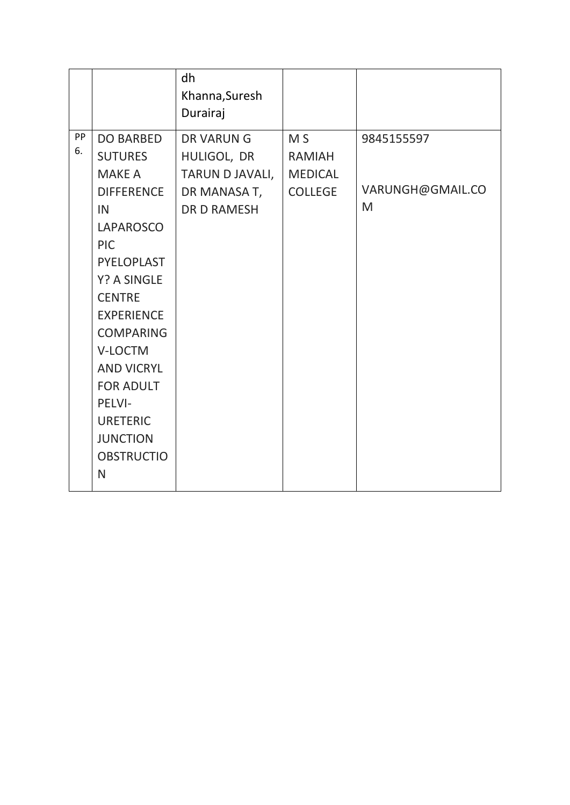|          |                                                                                                                                                                                                                                                                                                                                                         | dh<br>Khanna, Suresh<br>Durairaj                                                         |                                                                     |                                     |
|----------|---------------------------------------------------------------------------------------------------------------------------------------------------------------------------------------------------------------------------------------------------------------------------------------------------------------------------------------------------------|------------------------------------------------------------------------------------------|---------------------------------------------------------------------|-------------------------------------|
| PP<br>6. | <b>DO BARBED</b><br><b>SUTURES</b><br><b>MAKE A</b><br><b>DIFFERENCE</b><br>IN<br><b>LAPAROSCO</b><br><b>PIC</b><br>PYELOPLAST<br><b>Y? A SINGLE</b><br><b>CENTRE</b><br><b>EXPERIENCE</b><br><b>COMPARING</b><br>V-LOCTM<br><b>AND VICRYL</b><br><b>FOR ADULT</b><br>PELVI-<br><b>URETERIC</b><br><b>JUNCTION</b><br><b>OBSTRUCTIO</b><br>$\mathsf{N}$ | <b>DR VARUNG</b><br>HULIGOL, DR<br>TARUN D JAVALI,<br>DR MANASA T,<br><b>DR D RAMESH</b> | M <sub>S</sub><br><b>RAMIAH</b><br><b>MEDICAL</b><br><b>COLLEGE</b> | 9845155597<br>VARUNGH@GMAIL.CO<br>M |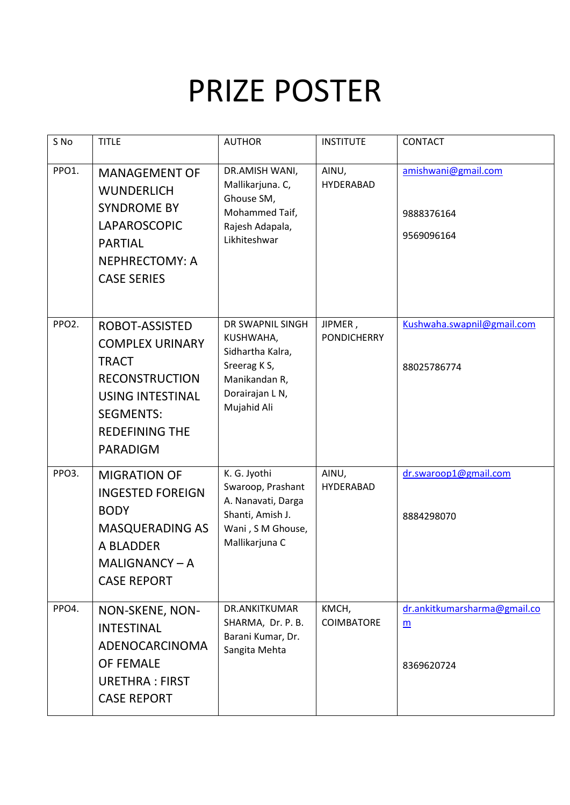# PRIZE POSTER

| S No               | <b>TITLE</b>                                                                                                                                                                 | <b>AUTHOR</b>                                                                                                       | <b>INSTITUTE</b>              | <b>CONTACT</b>                                  |
|--------------------|------------------------------------------------------------------------------------------------------------------------------------------------------------------------------|---------------------------------------------------------------------------------------------------------------------|-------------------------------|-------------------------------------------------|
| PPO1.              | <b>MANAGEMENT OF</b><br><b>WUNDERLICH</b><br><b>SYNDROME BY</b><br>LAPAROSCOPIC<br><b>PARTIAL</b><br>NEPHRECTOMY: A<br><b>CASE SERIES</b>                                    | DR.AMISH WANI,<br>Mallikarjuna. C,<br>Ghouse SM,<br>Mohammed Taif,<br>Rajesh Adapala,<br>Likhiteshwar               | AINU,<br><b>HYDERABAD</b>     | amishwani@gmail.com<br>9888376164<br>9569096164 |
| PPO <sub>2</sub> . | ROBOT-ASSISTED<br><b>COMPLEX URINARY</b><br><b>TRACT</b><br><b>RECONSTRUCTION</b><br><b>USING INTESTINAL</b><br><b>SEGMENTS:</b><br><b>REDEFINING THE</b><br><b>PARADIGM</b> | DR SWAPNIL SINGH<br>KUSHWAHA,<br>Sidhartha Kalra,<br>Sreerag K S,<br>Manikandan R,<br>Dorairajan LN,<br>Mujahid Ali | JIPMER,<br><b>PONDICHERRY</b> | Kushwaha.swapnil@gmail.com<br>88025786774       |
| PPO3.              | <b>MIGRATION OF</b><br><b>INGESTED FOREIGN</b><br><b>BODY</b><br><b>MASQUERADING AS</b><br>A BLADDER<br>MALIGNANCY-A<br><b>CASE REPORT</b>                                   | K. G. Jyothi<br>Swaroop, Prashant<br>A. Nanavati, Darga<br>Shanti, Amish J.<br>Wani, S M Ghouse,<br>Mallikarjuna C  | AINU,<br><b>HYDERABAD</b>     | dr.swaroop1@gmail.com<br>8884298070             |
| PPO4.              | NON-SKENE, NON-<br><b>INTESTINAL</b><br>ADENOCARCINOMA<br><b>OF FEMALE</b><br><b>URETHRA: FIRST</b><br><b>CASE REPORT</b>                                                    | DR.ANKITKUMAR<br>SHARMA, Dr. P. B.<br>Barani Kumar, Dr.<br>Sangita Mehta                                            | KMCH,<br>COIMBATORE           | dr.ankitkumarsharma@gmail.co<br>m<br>8369620724 |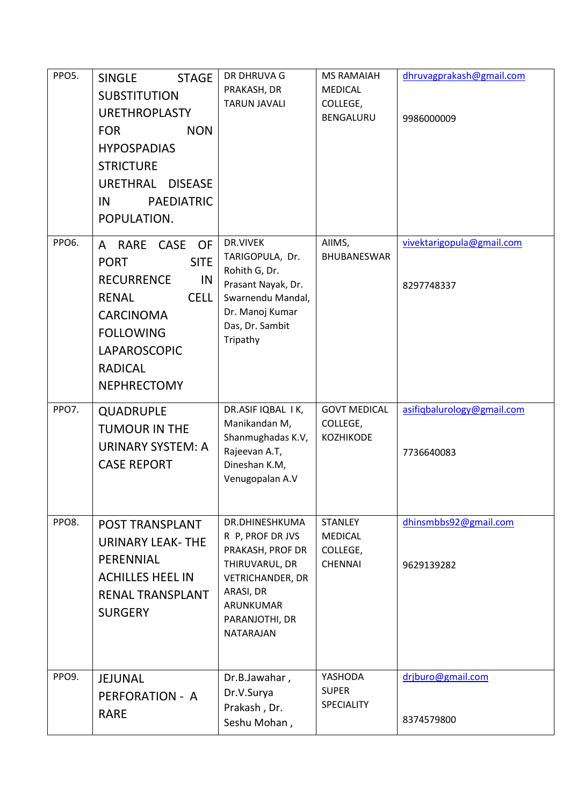| PPO5. | <b>STAGE</b><br><b>SINGLE</b><br><b>SUBSTITUTION</b><br><b>URETHROPLASTY</b><br><b>NON</b><br><b>FOR</b><br><b>HYPOSPADIAS</b><br><b>STRICTURE</b><br>URETHRAL<br><b>DISEASE</b><br><b>PAEDIATRIC</b><br>IN<br>POPULATION. | DR DHRUVA G<br>PRAKASH, DR<br><b>TARUN JAVALI</b>                                                                                                            | <b>MS RAMAIAH</b><br><b>MEDICAL</b><br>COLLEGE,<br>BENGALURU   | dhruvagprakash@gmail.com<br>9986000009   |
|-------|----------------------------------------------------------------------------------------------------------------------------------------------------------------------------------------------------------------------------|--------------------------------------------------------------------------------------------------------------------------------------------------------------|----------------------------------------------------------------|------------------------------------------|
| PPO6. | CASE<br><b>OF</b><br>A RARE<br><b>SITE</b><br><b>PORT</b><br><b>RECURRENCE</b><br>IN<br><b>CELL</b><br><b>RENAL</b><br><b>CARCINOMA</b><br><b>FOLLOWING</b><br>LAPAROSCOPIC<br><b>RADICAL</b><br><b>NEPHRECTOMY</b>        | DR.VIVEK<br>TARIGOPULA, Dr.<br>Rohith G, Dr.<br>Prasant Nayak, Dr.<br>Swarnendu Mandal,<br>Dr. Manoj Kumar<br>Das, Dr. Sambit<br>Tripathy                    | AIIMS,<br><b>BHUBANESWAR</b>                                   | vivektarigopula@gmail.com<br>8297748337  |
| PPO7. | <b>QUADRUPLE</b><br><b>TUMOUR IN THE</b><br><b>URINARY SYSTEM: A</b><br><b>CASE REPORT</b>                                                                                                                                 | DR.ASIF IQBAL I K,<br>Manikandan M,<br>Shanmughadas K.V,<br>Rajeevan A.T,<br>Dineshan K.M,<br>Venugopalan A.V                                                | <b>GOVT MEDICAL</b><br>COLLEGE,<br><b>KOZHIKODE</b>            | asifiqbalurology@gmail.com<br>7736640083 |
| PPO8. | <b>POST TRANSPLANT</b><br><b>URINARY LEAK-THE</b><br>PERENNIAL<br><b>ACHILLES HEEL IN</b><br><b>RENAL TRANSPLANT</b><br><b>SURGERY</b>                                                                                     | DR.DHINESHKUMA<br>R P, PROF DR JVS<br>PRAKASH, PROF DR<br>THIRUVARUL, DR<br><b>VETRICHANDER, DR</b><br>ARASI, DR<br>ARUNKUMAR<br>PARANJOTHI, DR<br>NATARAJAN | <b>STANLEY</b><br><b>MEDICAL</b><br>COLLEGE,<br><b>CHENNAI</b> | dhinsmbbs92@gmail.com<br>9629139282      |
| PPO9. | <b>JEJUNAL</b><br>PERFORATION - A<br><b>RARE</b>                                                                                                                                                                           | Dr.B.Jawahar,<br>Dr.V.Surya<br>Prakash, Dr.<br>Seshu Mohan,                                                                                                  | YASHODA<br><b>SUPER</b><br><b>SPECIALITY</b>                   | drjburo@gmail.com<br>8374579800          |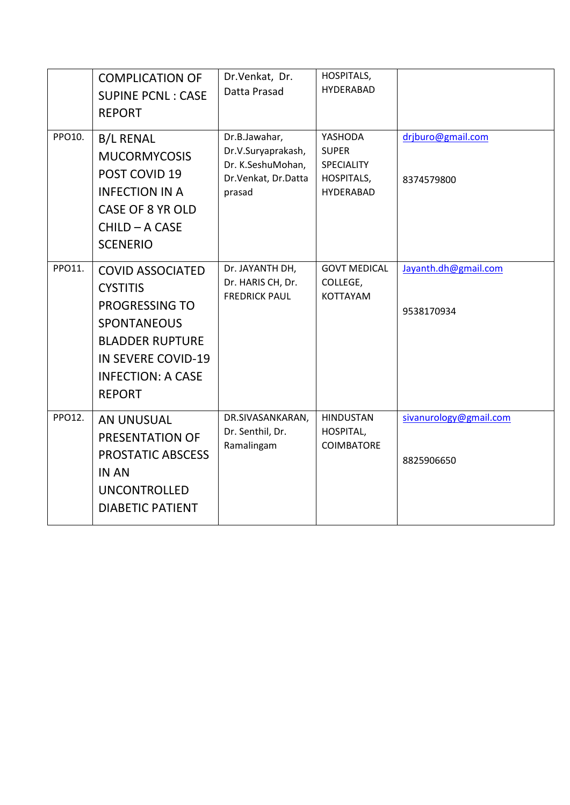|        | <b>COMPLICATION OF</b><br><b>SUPINE PCNL: CASE</b><br><b>REPORT</b>                                                                                                                           | Dr.Venkat, Dr.<br>Datta Prasad                                                            | HOSPITALS,<br><b>HYDERABAD</b>                                          |                                      |
|--------|-----------------------------------------------------------------------------------------------------------------------------------------------------------------------------------------------|-------------------------------------------------------------------------------------------|-------------------------------------------------------------------------|--------------------------------------|
| PPO10. | <b>B/L RENAL</b><br><b>MUCORMYCOSIS</b><br>POST COVID 19<br><b>INFECTION IN A</b><br><b>CASE OF 8 YR OLD</b><br>CHILD - A CASE<br><b>SCENERIO</b>                                             | Dr.B.Jawahar,<br>Dr.V.Suryaprakash,<br>Dr. K.SeshuMohan,<br>Dr.Venkat, Dr.Datta<br>prasad | YASHODA<br><b>SUPER</b><br>SPECIALITY<br>HOSPITALS,<br><b>HYDERABAD</b> | drjburo@gmail.com<br>8374579800      |
| PPO11. | <b>COVID ASSOCIATED</b><br><b>CYSTITIS</b><br><b>PROGRESSING TO</b><br><b>SPONTANEOUS</b><br><b>BLADDER RUPTURE</b><br><b>IN SEVERE COVID-19</b><br><b>INFECTION: A CASE</b><br><b>REPORT</b> | Dr. JAYANTH DH,<br>Dr. HARIS CH, Dr.<br><b>FREDRICK PAUL</b>                              | <b>GOVT MEDICAL</b><br>COLLEGE,<br>KOTTAYAM                             | Jayanth.dh@gmail.com<br>9538170934   |
| PPO12. | <b>AN UNUSUAL</b><br><b>PRESENTATION OF</b><br><b>PROSTATIC ABSCESS</b><br><b>IN AN</b><br><b>UNCONTROLLED</b><br><b>DIABETIC PATIENT</b>                                                     | DR.SIVASANKARAN,<br>Dr. Senthil, Dr.<br>Ramalingam                                        | <b>HINDUSTAN</b><br>HOSPITAL,<br><b>COIMBATORE</b>                      | sivanurology@gmail.com<br>8825906650 |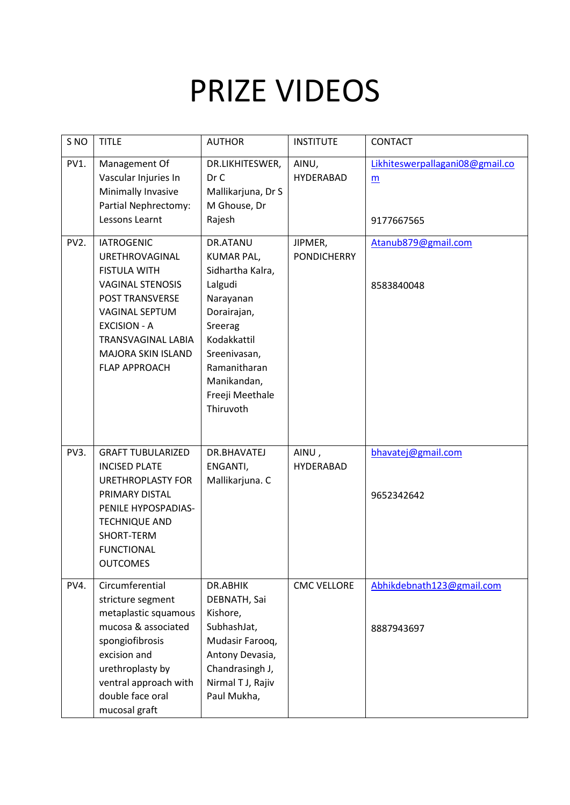## PRIZE VIDEOS

| S <sub>NO</sub>   | <b>TITLE</b>                                                                                                                                                                                                                        | <b>AUTHOR</b>                                                                                                                                                                                     | <b>INSTITUTE</b>              | <b>CONTACT</b>                                     |
|-------------------|-------------------------------------------------------------------------------------------------------------------------------------------------------------------------------------------------------------------------------------|---------------------------------------------------------------------------------------------------------------------------------------------------------------------------------------------------|-------------------------------|----------------------------------------------------|
| PV1.              | Management Of<br>Vascular Injuries In<br>Minimally Invasive<br>Partial Nephrectomy:<br>Lessons Learnt                                                                                                                               | DR.LIKHITESWER,<br>Dr C<br>Mallikarjuna, Dr S<br>M Ghouse, Dr<br>Rajesh                                                                                                                           | AINU,<br>HYDERABAD            | Likhiteswerpallagani08@gmail.co<br>m<br>9177667565 |
| PV <sub>2</sub> . | <b>IATROGENIC</b><br><b>URETHROVAGINAL</b><br><b>FISTULA WITH</b><br><b>VAGINAL STENOSIS</b><br>POST TRANSVERSE<br><b>VAGINAL SEPTUM</b><br><b>EXCISION - A</b><br>TRANSVAGINAL LABIA<br>MAJORA SKIN ISLAND<br><b>FLAP APPROACH</b> | DR.ATANU<br><b>KUMAR PAL,</b><br>Sidhartha Kalra,<br>Lalgudi<br>Narayanan<br>Dorairajan,<br>Sreerag<br>Kodakkattil<br>Sreenivasan,<br>Ramanitharan<br>Manikandan,<br>Freeji Meethale<br>Thiruvoth | JIPMER,<br><b>PONDICHERRY</b> | Atanub879@gmail.com<br>8583840048                  |
| PV3.              | <b>GRAFT TUBULARIZED</b><br><b>INCISED PLATE</b><br><b>URETHROPLASTY FOR</b><br>PRIMARY DISTAL<br>PENILE HYPOSPADIAS-<br><b>TECHNIQUE AND</b><br>SHORT-TERM<br><b>FUNCTIONAL</b><br><b>OUTCOMES</b>                                 | DR.BHAVATEJ<br>ENGANTI,<br>Mallikarjuna. C                                                                                                                                                        | AINU,<br><b>HYDERABAD</b>     | bhavatej@gmail.com<br>9652342642                   |
| PV4.              | Circumferential<br>stricture segment<br>metaplastic squamous<br>mucosa & associated<br>spongiofibrosis<br>excision and<br>urethroplasty by<br>ventral approach with<br>double face oral<br>mucosal graft                            | DR.ABHIK<br>DEBNATH, Sai<br>Kishore,<br>SubhashJat,<br>Mudasir Farooq,<br>Antony Devasia,<br>Chandrasingh J,<br>Nirmal T J, Rajiv<br>Paul Mukha,                                                  | <b>CMC VELLORE</b>            | Abhikdebnath123@gmail.com<br>8887943697            |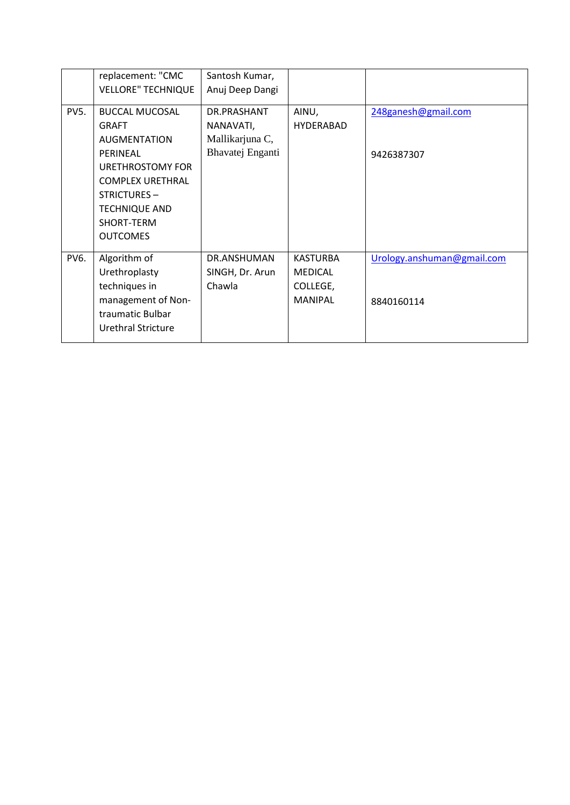|             | replacement: "CMC         | Santosh Kumar,   |                  |                            |
|-------------|---------------------------|------------------|------------------|----------------------------|
|             | <b>VELLORE" TECHNIQUE</b> | Anuj Deep Dangi  |                  |                            |
|             |                           |                  |                  |                            |
| <b>PV5.</b> | <b>BUCCAL MUCOSAL</b>     | DR.PRASHANT      | AINU,            | 248ganesh@gmail.com        |
|             | <b>GRAFT</b>              | NANAVATI,        | <b>HYDERABAD</b> |                            |
|             | <b>AUGMENTATION</b>       | Mallikarjuna C,  |                  |                            |
|             | PERINEAL                  | Bhavatej Enganti |                  | 9426387307                 |
|             | URETHROSTOMY FOR          |                  |                  |                            |
|             | <b>COMPLEX URETHRAL</b>   |                  |                  |                            |
|             | STRICTURES-               |                  |                  |                            |
|             | <b>TECHNIQUE AND</b>      |                  |                  |                            |
|             | SHORT-TERM                |                  |                  |                            |
|             | <b>OUTCOMES</b>           |                  |                  |                            |
| <b>PV6.</b> | Algorithm of              | DR.ANSHUMAN      | <b>KASTURBA</b>  | Urology.anshuman@gmail.com |
|             | Urethroplasty             | SINGH, Dr. Arun  | <b>MEDICAL</b>   |                            |
|             | techniques in             | Chawla           | COLLEGE,         |                            |
|             | management of Non-        |                  | <b>MANIPAL</b>   | 8840160114                 |
|             | traumatic Bulbar          |                  |                  |                            |
|             | Urethral Stricture        |                  |                  |                            |
|             |                           |                  |                  |                            |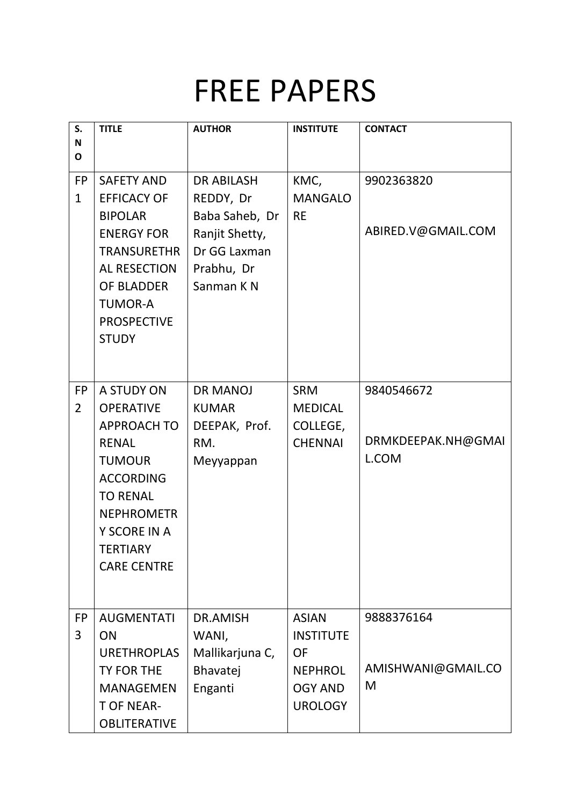### FREE PAPERS

| S.<br>$\mathbf N$           | <b>TITLE</b>                                                                                                                                                                                        | <b>AUTHOR</b>                                                                                                 | <b>INSTITUTE</b>                                                                                    | <b>CONTACT</b>                            |
|-----------------------------|-----------------------------------------------------------------------------------------------------------------------------------------------------------------------------------------------------|---------------------------------------------------------------------------------------------------------------|-----------------------------------------------------------------------------------------------------|-------------------------------------------|
| $\mathbf{o}$                |                                                                                                                                                                                                     |                                                                                                               |                                                                                                     |                                           |
| <b>FP</b><br>$\mathbf{1}$   | <b>SAFETY AND</b><br><b>EFFICACY OF</b><br><b>BIPOLAR</b><br><b>ENERGY FOR</b><br><b>TRANSURETHR</b><br><b>AL RESECTION</b><br>OF BLADDER<br><b>TUMOR-A</b><br><b>PROSPECTIVE</b><br><b>STUDY</b>   | <b>DR ABILASH</b><br>REDDY, Dr<br>Baba Saheb, Dr<br>Ranjit Shetty,<br>Dr GG Laxman<br>Prabhu, Dr<br>Sanman KN | KMC,<br><b>MANGALO</b><br><b>RE</b>                                                                 | 9902363820<br>ABIRED.V@GMAIL.COM          |
| <b>FP</b><br>$\overline{2}$ | A STUDY ON<br><b>OPERATIVE</b><br><b>APPROACH TO</b><br><b>RENAL</b><br><b>TUMOUR</b><br><b>ACCORDING</b><br><b>TO RENAL</b><br><b>NEPHROMETR</b><br>Y SCORE IN A<br>TERTIARY<br><b>CARE CENTRE</b> | <b>DR MANOJ</b><br><b>KUMAR</b><br>DEEPAK, Prof.<br>RM.<br>Meyyappan                                          | <b>SRM</b><br><b>MEDICAL</b><br>COLLEGE,<br><b>CHENNAI</b>                                          | 9840546672<br>DRMKDEEPAK.NH@GMAI<br>L.COM |
| <b>FP</b><br>3              | <b>AUGMENTATI</b><br>ON<br><b>URETHROPLAS</b><br><b>TY FOR THE</b><br><b>MANAGEMEN</b><br><b>T OF NEAR-</b><br><b>OBLITERATIVE</b>                                                                  | DR.AMISH<br>WANI,<br>Mallikarjuna C,<br>Bhavatej<br>Enganti                                                   | <b>ASIAN</b><br><b>INSTITUTE</b><br><b>OF</b><br><b>NEPHROL</b><br><b>OGY AND</b><br><b>UROLOGY</b> | 9888376164<br>AMISHWANI@GMAIL.CO<br>M     |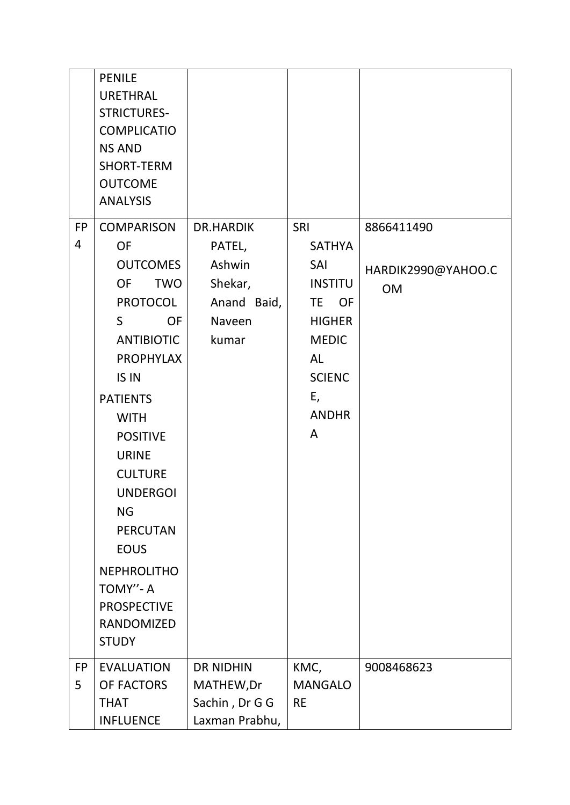|                | <b>PENILE</b><br><b>URETHRAL</b><br><b>STRICTURES-</b><br><b>COMPLICATIO</b><br><b>NS AND</b><br><b>SHORT-TERM</b><br><b>OUTCOME</b><br><b>ANALYSIS</b>                                                                                                                                                                                   |                                                                    |                                                                                                                                           |                                 |
|----------------|-------------------------------------------------------------------------------------------------------------------------------------------------------------------------------------------------------------------------------------------------------------------------------------------------------------------------------------------|--------------------------------------------------------------------|-------------------------------------------------------------------------------------------------------------------------------------------|---------------------------------|
| 4              | <b>OF</b><br><b>OUTCOMES</b><br><b>OF</b><br><b>TWO</b><br><b>PROTOCOL</b><br>S.<br><b>OF</b><br><b>ANTIBIOTIC</b><br><b>PROPHYLAX</b><br>IS IN<br><b>PATIENTS</b><br><b>WITH</b><br><b>POSITIVE</b><br><b>URINE</b><br><b>CULTURE</b><br><b>UNDERGOI</b><br><b>NG</b><br><b>PERCUTAN</b><br><b>EOUS</b><br><b>NEPHROLITHO</b><br>TOMY"-A | PATEL,<br>Ashwin<br>Shekar,<br>Anand Baid,<br>Naveen<br>kumar      | <b>SATHYA</b><br>SAI<br><b>INSTITU</b><br>TE OF<br><b>HIGHER</b><br><b>MEDIC</b><br><b>AL</b><br><b>SCIENC</b><br>E,<br><b>ANDHR</b><br>A | HARDIK2990@YAHOO.C<br><b>OM</b> |
|                | <b>PROSPECTIVE</b><br><b>RANDOMIZED</b><br><b>STUDY</b>                                                                                                                                                                                                                                                                                   |                                                                    |                                                                                                                                           |                                 |
| <b>FP</b><br>5 | <b>EVALUATION</b><br>OF FACTORS<br><b>THAT</b><br><b>INFLUENCE</b>                                                                                                                                                                                                                                                                        | <b>DR NIDHIN</b><br>MATHEW, Dr<br>Sachin, Dr G G<br>Laxman Prabhu, | KMC,<br><b>MANGALO</b><br><b>RE</b>                                                                                                       | 9008468623                      |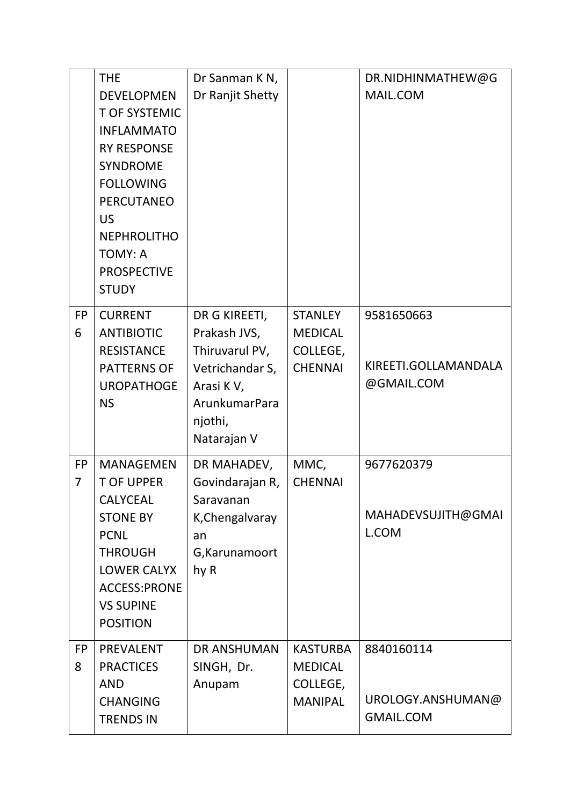|                             | <b>THE</b><br><b>DEVELOPMEN</b><br><b>T OF SYSTEMIC</b><br><b>INFLAMMATO</b><br><b>RY RESPONSE</b><br><b>SYNDROME</b><br><b>FOLLOWING</b><br><b>PERCUTANEO</b><br><b>US</b><br><b>NEPHROLITHO</b><br><b>TOMY: A</b><br><b>PROSPECTIVE</b><br><b>STUDY</b> | Dr Sanman K N,<br>Dr Ranjit Shetty                                                                                         |                                                                 | DR.NIDHINMATHEW@G<br>MAIL.COM                       |
|-----------------------------|-----------------------------------------------------------------------------------------------------------------------------------------------------------------------------------------------------------------------------------------------------------|----------------------------------------------------------------------------------------------------------------------------|-----------------------------------------------------------------|-----------------------------------------------------|
| <b>FP</b><br>6              | <b>CURRENT</b><br><b>ANTIBIOTIC</b><br><b>RESISTANCE</b><br><b>PATTERNS OF</b><br><b>UROPATHOGE</b><br><b>NS</b>                                                                                                                                          | DR G KIREETI,<br>Prakash JVS,<br>Thiruvarul PV,<br>Vetrichandar S,<br>Arasi KV,<br>ArunkumarPara<br>njothi,<br>Natarajan V | <b>STANLEY</b><br><b>MEDICAL</b><br>COLLEGE,<br><b>CHENNAI</b>  | 9581650663<br>KIREETI.GOLLAMANDALA<br>@GMAIL.COM    |
| <b>FP</b><br>$\overline{7}$ | <b>MANAGEMEN</b><br><b>T OF UPPER</b><br>CALYCEAL<br><b>STONE BY</b><br><b>PCNL</b><br><b>THROUGH</b><br><b>LOWER CALYX</b><br><b>ACCESS:PRONE</b><br><b>VS SUPINE</b><br><b>POSITION</b>                                                                 | DR MAHADEV,<br>Govindarajan R,<br>Saravanan<br>K, Chengalvaray<br>an<br>G, Karunamoort<br>hy R                             | MMC,<br><b>CHENNAI</b>                                          | 9677620379<br>MAHADEVSUJITH@GMAI<br>L.COM           |
| <b>FP</b><br>8              | <b>PREVALENT</b><br><b>PRACTICES</b><br><b>AND</b><br><b>CHANGING</b><br><b>TRENDS IN</b>                                                                                                                                                                 | <b>DR ANSHUMAN</b><br>SINGH, Dr.<br>Anupam                                                                                 | <b>KASTURBA</b><br><b>MEDICAL</b><br>COLLEGE,<br><b>MANIPAL</b> | 8840160114<br>UROLOGY.ANSHUMAN@<br><b>GMAIL.COM</b> |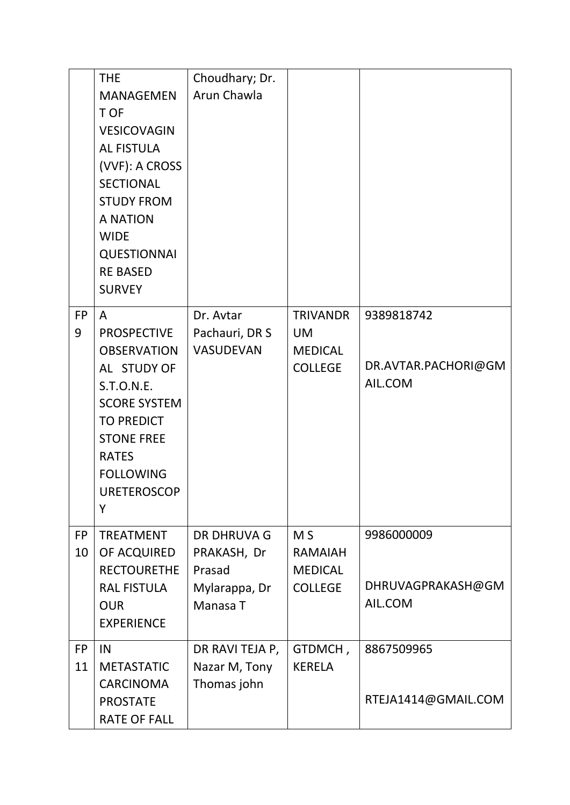|                 | <b>THE</b><br><b>MANAGEMEN</b><br>T OF<br><b>VESICOVAGIN</b><br><b>AL FISTULA</b><br>(VVF): A CROSS<br><b>SECTIONAL</b><br><b>STUDY FROM</b><br><b>A NATION</b><br><b>WIDE</b><br><b>QUESTIONNAI</b><br><b>RE BASED</b><br><b>SURVEY</b> | Choudhary; Dr.<br>Arun Chawla                                            |                                                                      |                                              |
|-----------------|------------------------------------------------------------------------------------------------------------------------------------------------------------------------------------------------------------------------------------------|--------------------------------------------------------------------------|----------------------------------------------------------------------|----------------------------------------------|
| <b>FP</b><br>9  | A<br><b>PROSPECTIVE</b><br><b>OBSERVATION</b><br>AL STUDY OF<br>S.T.O.N.E.<br><b>SCORE SYSTEM</b><br><b>TO PREDICT</b><br><b>STONE FREE</b><br><b>RATES</b><br><b>FOLLOWING</b><br><b>URETEROSCOP</b><br>Y                               | Dr. Avtar<br>Pachauri, DR S<br><b>VASUDEVAN</b>                          | <b>TRIVANDR</b><br><b>UM</b><br><b>MEDICAL</b><br><b>COLLEGE</b>     | 9389818742<br>DR.AVTAR.PACHORI@GM<br>AIL.COM |
| <b>FP</b><br>10 | <b>TREATMENT</b><br>OF ACQUIRED<br><b>RECTOURETHE</b><br><b>RAL FISTULA</b><br><b>OUR</b><br><b>EXPERIENCE</b>                                                                                                                           | <b>DR DHRUVA G</b><br>PRAKASH, Dr<br>Prasad<br>Mylarappa, Dr<br>Manasa T | M <sub>S</sub><br><b>RAMAIAH</b><br><b>MEDICAL</b><br><b>COLLEGE</b> | 9986000009<br>DHRUVAGPRAKASH@GM<br>AIL.COM   |
| <b>FP</b><br>11 | IN<br><b>METASTATIC</b><br><b>CARCINOMA</b><br><b>PROSTATE</b><br><b>RATE OF FALL</b>                                                                                                                                                    | DR RAVI TEJA P,<br>Nazar M, Tony<br>Thomas john                          | GTDMCH,<br><b>KERELA</b>                                             | 8867509965<br>RTEJA1414@GMAIL.COM            |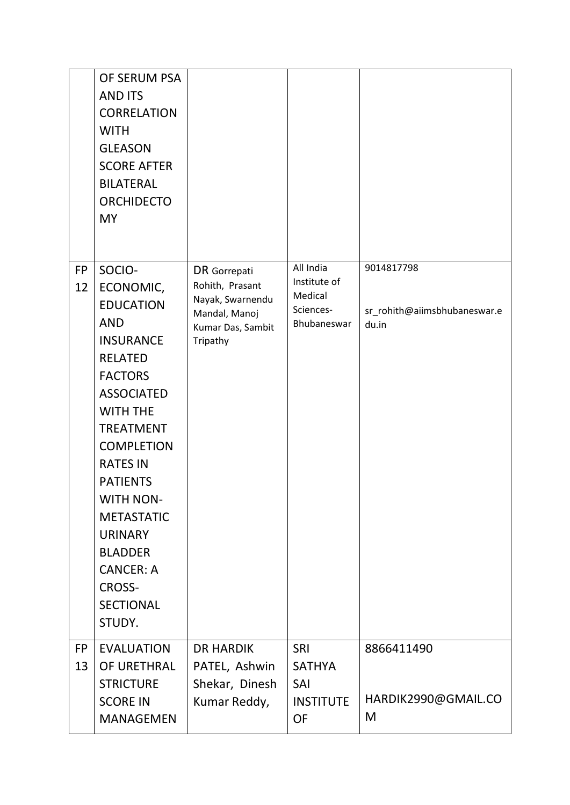|                 | OF SERUM PSA<br><b>AND ITS</b><br><b>CORRELATION</b><br><b>WITH</b><br><b>GLEASON</b><br><b>SCORE AFTER</b><br><b>BILATERAL</b><br><b>ORCHIDECTO</b><br><b>MY</b>                                                                                                                                                                                                             |                                                                                                       |                                                                  |                                                     |
|-----------------|-------------------------------------------------------------------------------------------------------------------------------------------------------------------------------------------------------------------------------------------------------------------------------------------------------------------------------------------------------------------------------|-------------------------------------------------------------------------------------------------------|------------------------------------------------------------------|-----------------------------------------------------|
| <b>FP</b><br>12 | SOCIO-<br>ECONOMIC,<br><b>EDUCATION</b><br><b>AND</b><br><b>INSURANCE</b><br><b>RELATED</b><br><b>FACTORS</b><br><b>ASSOCIATED</b><br><b>WITH THE</b><br><b>TREATMENT</b><br><b>COMPLETION</b><br><b>RATES IN</b><br><b>PATIENTS</b><br><b>WITH NON-</b><br><b>METASTATIC</b><br><b>URINARY</b><br><b>BLADDER</b><br><b>CANCER: A</b><br>CROSS-<br><b>SECTIONAL</b><br>STUDY. | DR Gorrepati<br>Rohith, Prasant<br>Nayak, Swarnendu<br>Mandal, Manoj<br>Kumar Das, Sambit<br>Tripathy | All India<br>Institute of<br>Medical<br>Sciences-<br>Bhubaneswar | 9014817798<br>sr_rohith@aiimsbhubaneswar.e<br>du.in |
| <b>FP</b>       | <b>EVALUATION</b>                                                                                                                                                                                                                                                                                                                                                             | <b>DR HARDIK</b>                                                                                      | <b>SRI</b>                                                       | 8866411490                                          |
| 13              | OF URETHRAL<br><b>STRICTURE</b>                                                                                                                                                                                                                                                                                                                                               | PATEL, Ashwin<br>Shekar, Dinesh                                                                       | <b>SATHYA</b><br>SAI                                             |                                                     |
|                 | <b>SCORE IN</b><br>MANAGEMEN                                                                                                                                                                                                                                                                                                                                                  | Kumar Reddy,                                                                                          | <b>INSTITUTE</b><br><b>OF</b>                                    | HARDIK2990@GMAIL.CO<br>M                            |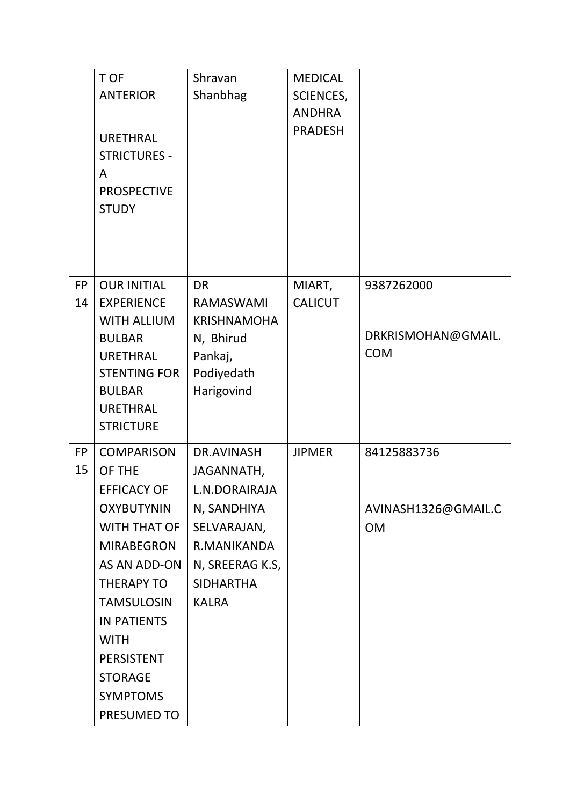|                 | T OF<br><b>ANTERIOR</b><br><b>URETHRAL</b><br><b>STRICTURES -</b><br>A<br><b>PROSPECTIVE</b><br><b>STUDY</b>                                                                                                                                                                        | Shravan<br>Shanbhag                                                                                                                                  | <b>MEDICAL</b><br>SCIENCES,<br><b>ANDHRA</b><br><b>PRADESH</b> |                                                 |
|-----------------|-------------------------------------------------------------------------------------------------------------------------------------------------------------------------------------------------------------------------------------------------------------------------------------|------------------------------------------------------------------------------------------------------------------------------------------------------|----------------------------------------------------------------|-------------------------------------------------|
| <b>FP</b><br>14 | <b>OUR INITIAL</b><br><b>EXPERIENCE</b><br><b>WITH ALLIUM</b><br><b>BULBAR</b><br><b>URETHRAL</b><br><b>STENTING FOR</b><br><b>BULBAR</b><br><b>URETHRAL</b><br><b>STRICTURE</b>                                                                                                    | <b>DR</b><br>RAMASWAMI<br><b>KRISHNAMOHA</b><br>N, Bhirud<br>Pankaj,<br>Podiyedath<br>Harigovind                                                     | MIART,<br><b>CALICUT</b>                                       | 9387262000<br>DRKRISMOHAN@GMAIL.<br><b>COM</b>  |
| <b>FP</b><br>15 | <b>COMPARISON</b><br>OF THE<br><b>EFFICACY OF</b><br><b>OXYBUTYNIN</b><br>WITH THAT OF<br><b>MIRABEGRON</b><br>AS AN ADD-ON<br><b>THERAPY TO</b><br><b>TAMSULOSIN</b><br><b>IN PATIENTS</b><br><b>WITH</b><br><b>PERSISTENT</b><br><b>STORAGE</b><br><b>SYMPTOMS</b><br>PRESUMED TO | <b>DR.AVINASH</b><br>JAGANNATH,<br>L.N.DORAIRAJA<br>N, SANDHIYA<br>SELVARAJAN,<br>R.MANIKANDA<br>N, SREERAG K.S,<br><b>SIDHARTHA</b><br><b>KALRA</b> | <b>JIPMER</b>                                                  | 84125883736<br>AVINASH1326@GMAIL.C<br><b>OM</b> |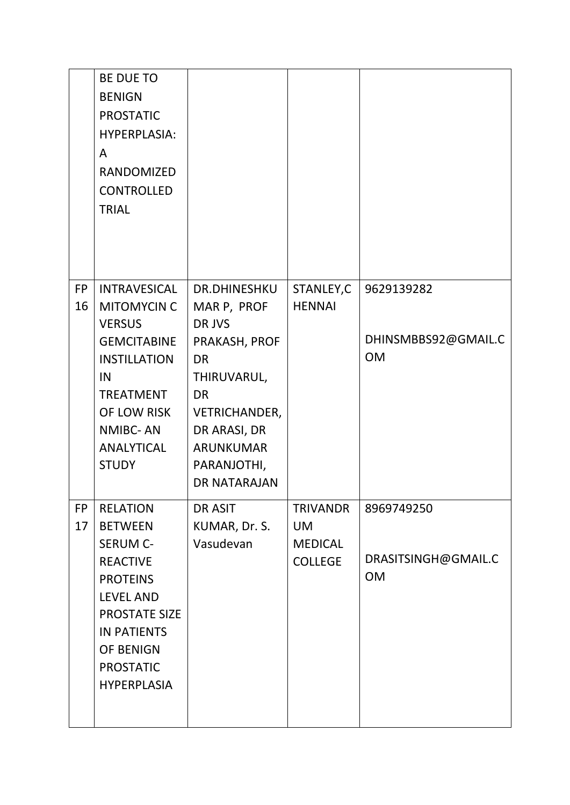|                 | <b>BE DUE TO</b><br><b>BENIGN</b><br><b>PROSTATIC</b><br><b>HYPERPLASIA:</b><br>A<br><b>RANDOMIZED</b><br><b>CONTROLLED</b><br><b>TRIAL</b>                                    |                                                                                                                                                          |                                  |                                  |
|-----------------|--------------------------------------------------------------------------------------------------------------------------------------------------------------------------------|----------------------------------------------------------------------------------------------------------------------------------------------------------|----------------------------------|----------------------------------|
| <b>FP</b><br>16 | <b>INTRAVESICAL</b><br><b>MITOMYCIN C</b><br><b>VERSUS</b>                                                                                                                     | <b>DR.DHINESHKU</b><br>MAR P, PROF<br>DR JVS                                                                                                             | STANLEY, C<br><b>HENNAI</b>      | 9629139282                       |
|                 | <b>GEMCITABINE</b><br><b>INSTILLATION</b><br>IN<br><b>TREATMENT</b><br>OF LOW RISK<br><b>NMIBC-AN</b><br><b>ANALYTICAL</b><br><b>STUDY</b>                                     | PRAKASH, PROF<br><b>DR</b><br>THIRUVARUL,<br><b>DR</b><br><b>VETRICHANDER,</b><br>DR ARASI, DR<br><b>ARUNKUMAR</b><br>PARANJOTHI,<br><b>DR NATARAJAN</b> |                                  | DHINSMBBS92@GMAIL.C<br><b>OM</b> |
| <b>FP</b><br>17 | <b>RELATION</b><br><b>BETWEEN</b>                                                                                                                                              | DR ASIT<br>KUMAR, Dr. S.                                                                                                                                 | <b>TRIVANDR</b><br><b>UM</b>     | 8969749250                       |
|                 | <b>SERUM C-</b><br><b>REACTIVE</b><br><b>PROTEINS</b><br><b>LEVEL AND</b><br><b>PROSTATE SIZE</b><br><b>IN PATIENTS</b><br>OF BENIGN<br><b>PROSTATIC</b><br><b>HYPERPLASIA</b> | Vasudevan                                                                                                                                                | <b>MEDICAL</b><br><b>COLLEGE</b> | DRASITSINGH@GMAIL.C<br><b>OM</b> |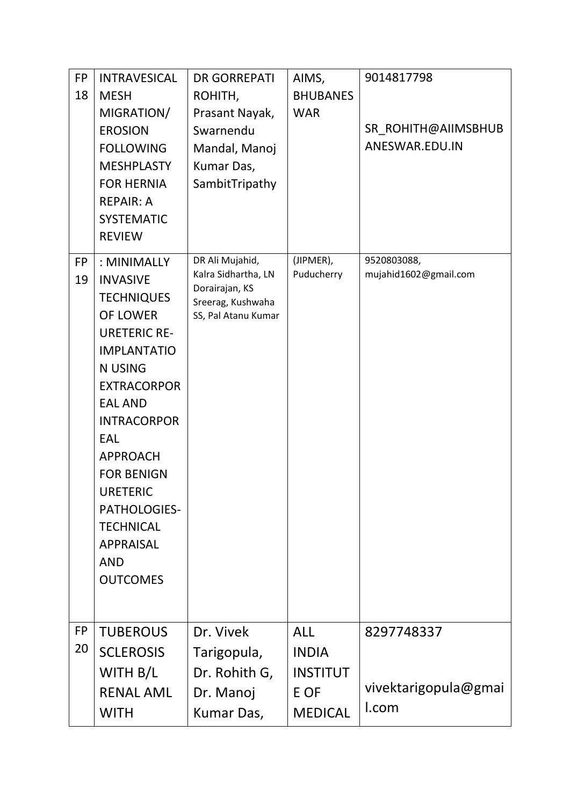| <b>FP</b><br>18 | <b>INTRAVESICAL</b><br><b>MESH</b><br>MIGRATION/<br><b>EROSION</b><br><b>FOLLOWING</b><br><b>MESHPLASTY</b><br><b>FOR HERNIA</b><br><b>REPAIR: A</b><br><b>SYSTEMATIC</b><br><b>REVIEW</b>                                                                                                                                                                     | <b>DR GORREPATI</b><br>ROHITH,<br>Prasant Nayak,<br>Swarnendu<br>Mandal, Manoj<br>Kumar Das,<br>SambitTripathy | AIMS,<br><b>BHUBANES</b><br><b>WAR</b>                                  | 9014817798<br>SR ROHITH@AIIMSBHUB<br>ANESWAR.EDU.IN |
|-----------------|----------------------------------------------------------------------------------------------------------------------------------------------------------------------------------------------------------------------------------------------------------------------------------------------------------------------------------------------------------------|----------------------------------------------------------------------------------------------------------------|-------------------------------------------------------------------------|-----------------------------------------------------|
| <b>FP</b><br>19 | : MINIMALLY<br><b>INVASIVE</b><br><b>TECHNIQUES</b><br><b>OF LOWER</b><br><b>URETERIC RE-</b><br><b>IMPLANTATIO</b><br><b>N USING</b><br><b>EXTRACORPOR</b><br><b>EAL AND</b><br><b>INTRACORPOR</b><br>EAL<br><b>APPROACH</b><br><b>FOR BENIGN</b><br><b>URETERIC</b><br>PATHOLOGIES-<br><b>TECHNICAL</b><br><b>APPRAISAL</b><br><b>AND</b><br><b>OUTCOMES</b> | DR Ali Mujahid,<br>Kalra Sidhartha, LN<br>Dorairajan, KS<br>Sreerag, Kushwaha<br>SS, Pal Atanu Kumar           | (JIPMER),<br>Puducherry                                                 | 9520803088,<br>mujahid1602@gmail.com                |
| <b>FP</b><br>20 | <b>TUBEROUS</b><br><b>SCLEROSIS</b><br>WITH B/L<br><b>RENAL AML</b><br><b>WITH</b>                                                                                                                                                                                                                                                                             | Dr. Vivek<br>Tarigopula,<br>Dr. Rohith G,<br>Dr. Manoj<br>Kumar Das,                                           | <b>ALL</b><br><b>INDIA</b><br><b>INSTITUT</b><br>E OF<br><b>MEDICAL</b> | 8297748337<br>vivektarigopula@gmai<br>I.com         |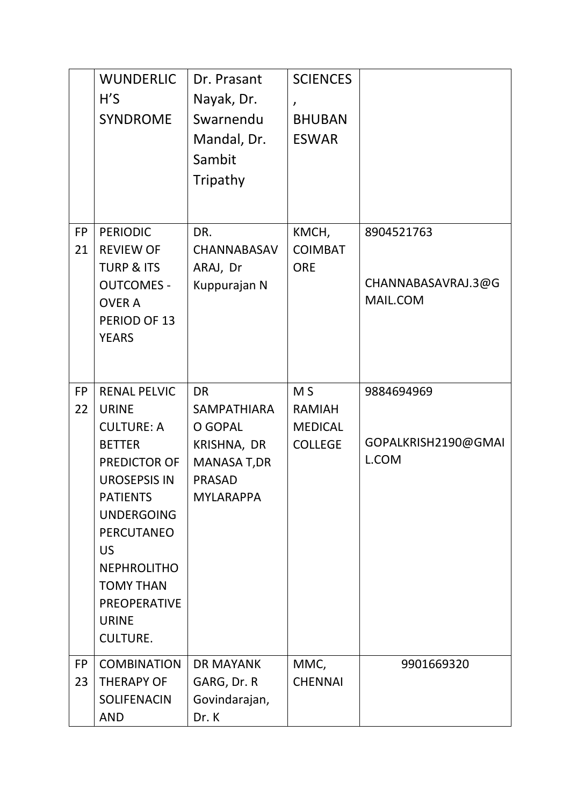|                 | <b>WUNDERLIC</b><br>H'S<br><b>SYNDROME</b>                                                                                                                                                                                                                                               | Dr. Prasant<br>Nayak, Dr.<br>Swarnendu<br>Mandal, Dr.<br>Sambit<br>Tripathy                                          | <b>SCIENCES</b><br>$\lambda$<br><b>BHUBAN</b><br><b>ESWAR</b>       |                                              |
|-----------------|------------------------------------------------------------------------------------------------------------------------------------------------------------------------------------------------------------------------------------------------------------------------------------------|----------------------------------------------------------------------------------------------------------------------|---------------------------------------------------------------------|----------------------------------------------|
| <b>FP</b><br>21 | <b>PERIODIC</b><br><b>REVIEW OF</b><br><b>TURP &amp; ITS</b><br><b>OUTCOMES -</b><br><b>OVER A</b><br>PERIOD OF 13<br><b>YEARS</b>                                                                                                                                                       | DR.<br><b>CHANNABASAV</b><br>ARAJ, Dr<br>Kuppurajan N                                                                | KMCH,<br><b>COIMBAT</b><br><b>ORE</b>                               | 8904521763<br>CHANNABASAVRAJ.3@G<br>MAIL.COM |
| <b>FP</b><br>22 | <b>RENAL PELVIC</b><br><b>URINE</b><br><b>CULTURE: A</b><br><b>BETTER</b><br>PREDICTOR OF<br><b>UROSEPSIS IN</b><br><b>PATIENTS</b><br><b>UNDERGOING</b><br><b>PERCUTANEO</b><br>US.<br><b>NEPHROLITHO</b><br><b>TOMY THAN</b><br><b>PREOPERATIVE</b><br><b>URINE</b><br><b>CULTURE.</b> | <b>DR</b><br><b>SAMPATHIARA</b><br>O GOPAL<br>KRISHNA, DR<br><b>MANASA T,DR</b><br><b>PRASAD</b><br><b>MYLARAPPA</b> | M <sub>S</sub><br><b>RAMIAH</b><br><b>MEDICAL</b><br><b>COLLEGE</b> | 9884694969<br>GOPALKRISH2190@GMAI<br>L.COM   |
| <b>FP</b><br>23 | <b>COMBINATION</b><br><b>THERAPY OF</b><br><b>SOLIFENACIN</b><br><b>AND</b>                                                                                                                                                                                                              | <b>DR MAYANK</b><br>GARG, Dr. R<br>Govindarajan,<br>Dr. K                                                            | MMC,<br><b>CHENNAI</b>                                              | 9901669320                                   |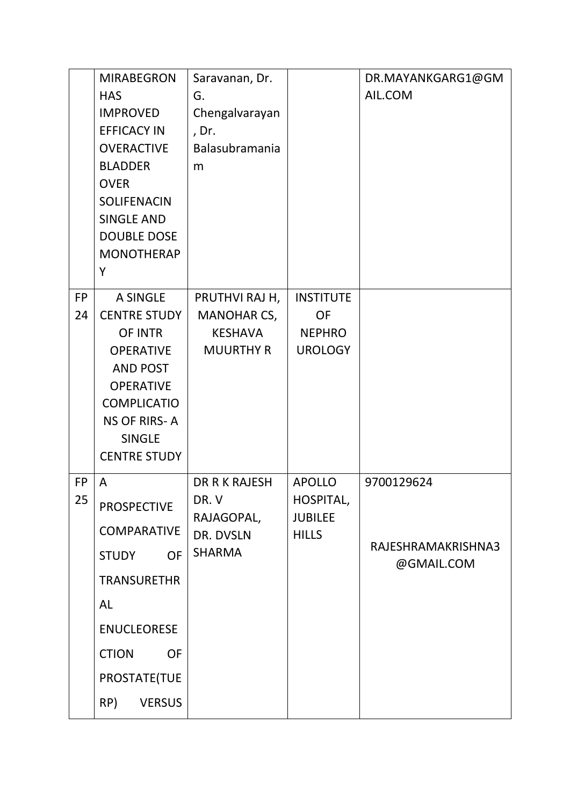|                 | <b>MIRABEGRON</b><br><b>HAS</b><br><b>IMPROVED</b><br><b>EFFICACY IN</b><br><b>OVERACTIVE</b><br><b>BLADDER</b><br><b>OVER</b><br><b>SOLIFENACIN</b><br><b>SINGLE AND</b><br><b>DOUBLE DOSE</b><br><b>MONOTHERAP</b> | Saravanan, Dr.<br>G.<br>Chengalvarayan<br>, Dr.<br>Balasubramania<br>m   |                                                              | DR.MAYANKGARG1@GM<br>AIL.COM                   |
|-----------------|----------------------------------------------------------------------------------------------------------------------------------------------------------------------------------------------------------------------|--------------------------------------------------------------------------|--------------------------------------------------------------|------------------------------------------------|
| <b>FP</b>       | Υ<br><b>A SINGLE</b>                                                                                                                                                                                                 | PRUTHVI RAJ H,                                                           | <b>INSTITUTE</b>                                             |                                                |
| 24              | <b>CENTRE STUDY</b><br>OF INTR<br><b>OPERATIVE</b><br><b>AND POST</b><br><b>OPERATIVE</b><br><b>COMPLICATIO</b><br><b>NS OF RIRS-A</b><br><b>SINGLE</b><br><b>CENTRE STUDY</b>                                       | <b>MANOHAR CS,</b><br><b>KESHAVA</b><br><b>MUURTHY R</b>                 | <b>OF</b><br><b>NEPHRO</b><br><b>UROLOGY</b>                 |                                                |
| <b>FP</b><br>25 | A<br><b>PROSPECTIVE</b><br><b>COMPARATIVE</b><br><b>STUDY</b><br><b>OF</b><br><b>TRANSURETHR</b><br><b>AL</b><br><b>ENUCLEORESE</b><br><b>CTION</b><br><b>OF</b><br>PROSTATE(TUE<br>RP)<br><b>VERSUS</b>             | <b>DR R K RAJESH</b><br>DR.V<br>RAJAGOPAL,<br>DR. DVSLN<br><b>SHARMA</b> | <b>APOLLO</b><br>HOSPITAL,<br><b>JUBILEE</b><br><b>HILLS</b> | 9700129624<br>RAJESHRAMAKRISHNA3<br>@GMAIL.COM |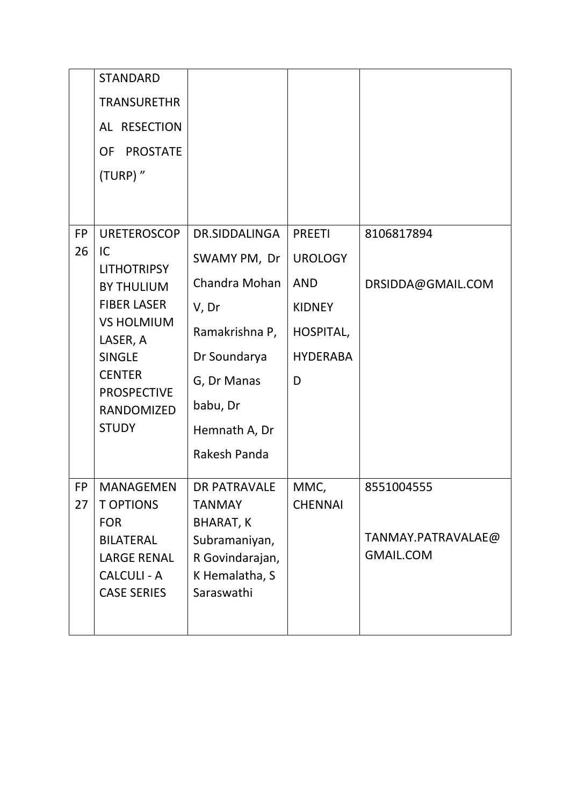|                 | <b>STANDARD</b>                                                                    |                                                                  |                        |                                        |
|-----------------|------------------------------------------------------------------------------------|------------------------------------------------------------------|------------------------|----------------------------------------|
|                 | <b>TRANSURETHR</b>                                                                 |                                                                  |                        |                                        |
|                 | AL RESECTION                                                                       |                                                                  |                        |                                        |
|                 | <b>PROSTATE</b><br>OF                                                              |                                                                  |                        |                                        |
|                 | (TURP)"                                                                            |                                                                  |                        |                                        |
|                 |                                                                                    |                                                                  |                        |                                        |
|                 |                                                                                    |                                                                  |                        |                                        |
| <b>FP</b><br>26 | <b>URETEROSCOP</b><br>IC                                                           | DR.SIDDALINGA                                                    | <b>PREETI</b>          | 8106817894                             |
|                 | <b>LITHOTRIPSY</b>                                                                 | SWAMY PM, Dr                                                     | <b>UROLOGY</b>         |                                        |
|                 | <b>BY THULIUM</b>                                                                  | Chandra Mohan                                                    | <b>AND</b>             | DRSIDDA@GMAIL.COM                      |
|                 | <b>FIBER LASER</b>                                                                 | V, Dr                                                            | <b>KIDNEY</b>          |                                        |
|                 | <b>VS HOLMIUM</b><br>LASER, A                                                      | Ramakrishna P,                                                   | HOSPITAL,              |                                        |
|                 | <b>SINGLE</b>                                                                      | Dr Soundarya                                                     | <b>HYDERABA</b>        |                                        |
|                 | <b>CENTER</b><br><b>PROSPECTIVE</b>                                                | G, Dr Manas                                                      | D                      |                                        |
|                 | <b>RANDOMIZED</b>                                                                  | babu, Dr                                                         |                        |                                        |
|                 | <b>STUDY</b>                                                                       | Hemnath A, Dr                                                    |                        |                                        |
|                 |                                                                                    | Rakesh Panda                                                     |                        |                                        |
| <b>FP</b><br>27 | <b>MANAGEMEN</b><br><b>T OPTIONS</b><br><b>FOR</b>                                 | <b>DR PATRAVALE</b><br><b>TANMAY</b><br><b>BHARAT, K</b>         | MMC,<br><b>CHENNAI</b> | 8551004555                             |
|                 | <b>BILATERAL</b><br><b>LARGE RENAL</b><br><b>CALCULI - A</b><br><b>CASE SERIES</b> | Subramaniyan,<br>R Govindarajan,<br>K Hemalatha, S<br>Saraswathi |                        | TANMAY.PATRAVALAE@<br><b>GMAIL.COM</b> |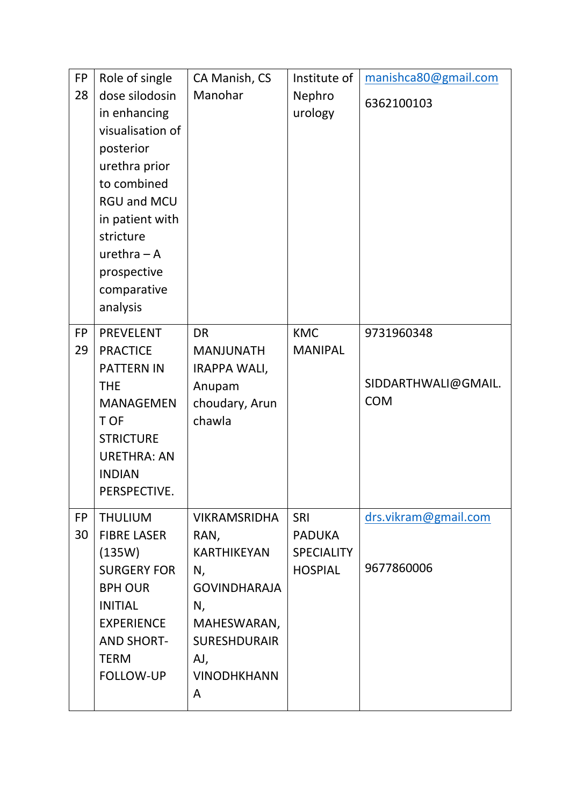| <b>FP</b><br>28 | Role of single<br>dose silodosin<br>in enhancing<br>visualisation of<br>posterior<br>urethra prior<br>to combined<br><b>RGU and MCU</b><br>in patient with<br>stricture<br>$urethra - A$<br>prospective<br>comparative<br>analysis | CA Manish, CS<br>Manohar                                                                                                                                     | Institute of<br>Nephro<br>urology                                  | manishca80@gmail.com<br>6362100103              |
|-----------------|------------------------------------------------------------------------------------------------------------------------------------------------------------------------------------------------------------------------------------|--------------------------------------------------------------------------------------------------------------------------------------------------------------|--------------------------------------------------------------------|-------------------------------------------------|
| <b>FP</b><br>29 | <b>PREVELENT</b><br><b>PRACTICE</b><br><b>PATTERN IN</b><br><b>THE</b><br><b>MANAGEMEN</b><br>T OF<br><b>STRICTURE</b><br><b>URETHRA: AN</b><br><b>INDIAN</b><br>PERSPECTIVE.                                                      | <b>DR</b><br><b>MANJUNATH</b><br><b>IRAPPA WALI,</b><br>Anupam<br>choudary, Arun<br>chawla                                                                   | <b>KMC</b><br><b>MANIPAL</b>                                       | 9731960348<br>SIDDARTHWALI@GMAIL.<br><b>COM</b> |
| <b>FP</b><br>30 | <b>THULIUM</b><br><b>FIBRE LASER</b><br>(135W)<br><b>SURGERY FOR</b><br><b>BPH OUR</b><br><b>INITIAL</b><br><b>EXPERIENCE</b><br><b>AND SHORT-</b><br><b>TERM</b><br>FOLLOW-UP                                                     | <b>VIKRAMSRIDHA</b><br>RAN,<br><b>KARTHIKEYAN</b><br>N,<br><b>GOVINDHARAJA</b><br>N,<br>MAHESWARAN,<br><b>SURESHDURAIR</b><br>AJ,<br><b>VINODHKHANN</b><br>A | <b>SRI</b><br><b>PADUKA</b><br><b>SPECIALITY</b><br><b>HOSPIAL</b> | drs.vikram@gmail.com<br>9677860006              |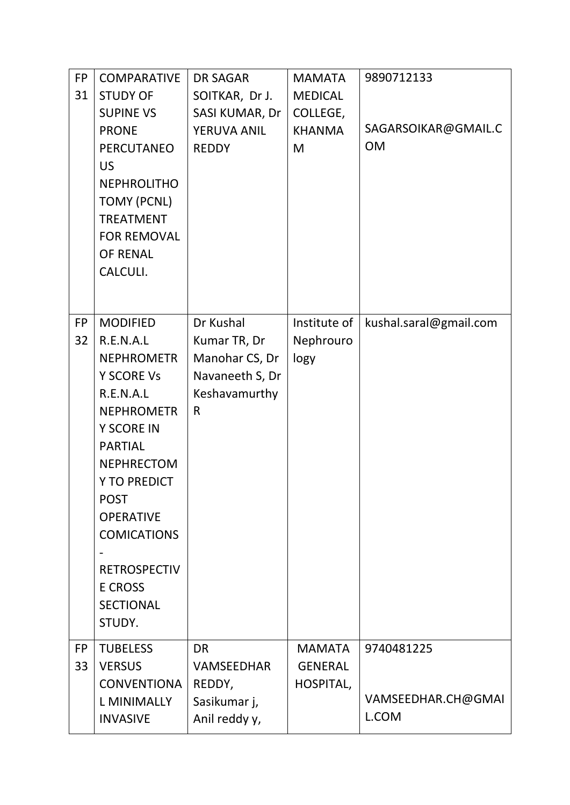| <b>FP</b><br>31 | <b>COMPARATIVE</b><br><b>STUDY OF</b><br><b>SUPINE VS</b><br><b>PRONE</b><br><b>PERCUTANEO</b><br><b>US</b><br><b>NEPHROLITHO</b><br><b>TOMY (PCNL)</b><br><b>TREATMENT</b><br><b>FOR REMOVAL</b><br><b>OF RENAL</b><br>CALCULI.                                                                                     | <b>DR SAGAR</b><br>SOITKAR, Dr J.<br>SASI KUMAR, Dr<br>YERUVA ANIL<br><b>REDDY</b>              | <b>MAMATA</b><br><b>MEDICAL</b><br>COLLEGE,<br><b>KHANMA</b><br>M | 9890712133<br>SAGARSOIKAR@GMAIL.C<br><b>OM</b> |
|-----------------|----------------------------------------------------------------------------------------------------------------------------------------------------------------------------------------------------------------------------------------------------------------------------------------------------------------------|-------------------------------------------------------------------------------------------------|-------------------------------------------------------------------|------------------------------------------------|
|                 |                                                                                                                                                                                                                                                                                                                      |                                                                                                 |                                                                   |                                                |
| <b>FP</b><br>32 | <b>MODIFIED</b><br>R.E.N.A.L<br><b>NEPHROMETR</b><br><b>Y SCORE Vs</b><br>R.E.N.A.L<br><b>NEPHROMETR</b><br>Y SCORE IN<br><b>PARTIAL</b><br><b>NEPHRECTOM</b><br><b>Y TO PREDICT</b><br><b>POST</b><br><b>OPERATIVE</b><br><b>COMICATIONS</b><br><b>RETROSPECTIV</b><br><b>E CROSS</b><br><b>SECTIONAL</b><br>STUDY. | Dr Kushal<br>Kumar TR, Dr<br>Manohar CS, Dr<br>Navaneeth S, Dr<br>Keshavamurthy<br>$\mathsf{R}$ | Institute of<br>Nephrouro<br>logy                                 | kushal.saral@gmail.com                         |
| <b>FP</b><br>33 | <b>TUBELESS</b><br><b>VERSUS</b><br><b>CONVENTIONA</b><br><b>L MINIMALLY</b><br><b>INVASIVE</b>                                                                                                                                                                                                                      | <b>DR</b><br><b>VAMSEEDHAR</b><br>REDDY,<br>Sasikumar j,<br>Anil reddy y,                       | <b>MAMATA</b><br><b>GENERAL</b><br>HOSPITAL,                      | 9740481225<br>VAMSEEDHAR.CH@GMAI<br>L.COM      |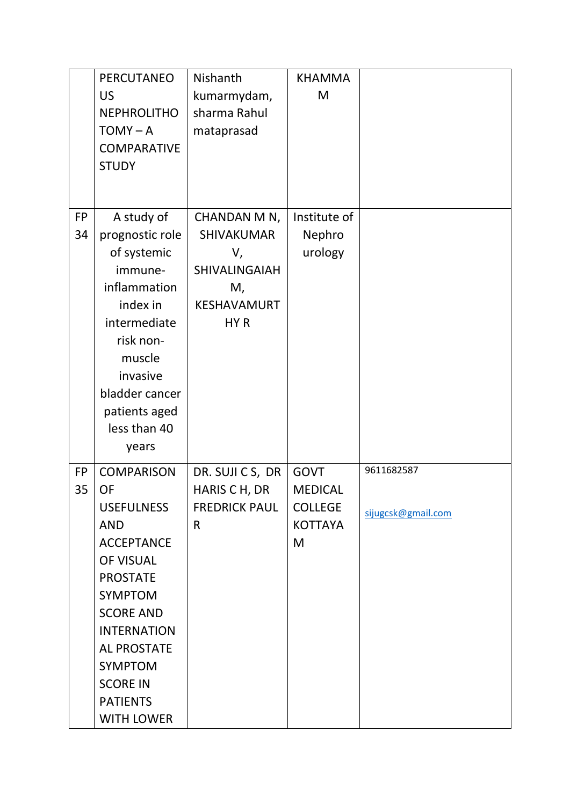|           | <b>PERCUTANEO</b>  | Nishanth             | <b>KHAMMA</b>  |                    |
|-----------|--------------------|----------------------|----------------|--------------------|
|           | <b>US</b>          | kumarmydam,          | M              |                    |
|           | <b>NEPHROLITHO</b> | sharma Rahul         |                |                    |
|           | $TOMY - A$         | mataprasad           |                |                    |
|           | <b>COMPARATIVE</b> |                      |                |                    |
|           | <b>STUDY</b>       |                      |                |                    |
|           |                    |                      |                |                    |
|           |                    |                      |                |                    |
| <b>FP</b> | A study of         | CHANDAN M N,         | Institute of   |                    |
| 34        | prognostic role    | <b>SHIVAKUMAR</b>    | Nephro         |                    |
|           | of systemic        | V,                   | urology        |                    |
|           | immune-            | SHIVALINGAIAH        |                |                    |
|           | inflammation       | M,                   |                |                    |
|           | index in           | <b>KESHAVAMURT</b>   |                |                    |
|           | intermediate       | HY <sub>R</sub>      |                |                    |
|           | risk non-          |                      |                |                    |
|           | muscle             |                      |                |                    |
|           | invasive           |                      |                |                    |
|           | bladder cancer     |                      |                |                    |
|           | patients aged      |                      |                |                    |
|           | less than 40       |                      |                |                    |
|           | years              |                      |                |                    |
| <b>FP</b> | <b>COMPARISON</b>  | DR. SUJI C S, DR     | <b>GOVT</b>    | 9611682587         |
| 35        | <b>OF</b>          | HARIS C H, DR        | <b>MEDICAL</b> |                    |
|           | <b>USEFULNESS</b>  | <b>FREDRICK PAUL</b> | <b>COLLEGE</b> |                    |
|           | <b>AND</b>         | $\mathsf{R}$         | <b>KOTTAYA</b> | sijugcsk@gmail.com |
|           | <b>ACCEPTANCE</b>  |                      | M              |                    |
|           | OF VISUAL          |                      |                |                    |
|           | <b>PROSTATE</b>    |                      |                |                    |
|           | <b>SYMPTOM</b>     |                      |                |                    |
|           | <b>SCORE AND</b>   |                      |                |                    |
|           | <b>INTERNATION</b> |                      |                |                    |
|           | <b>AL PROSTATE</b> |                      |                |                    |
|           | <b>SYMPTOM</b>     |                      |                |                    |
|           | <b>SCORE IN</b>    |                      |                |                    |
|           | <b>PATIENTS</b>    |                      |                |                    |
|           |                    |                      |                |                    |
|           | <b>WITH LOWER</b>  |                      |                |                    |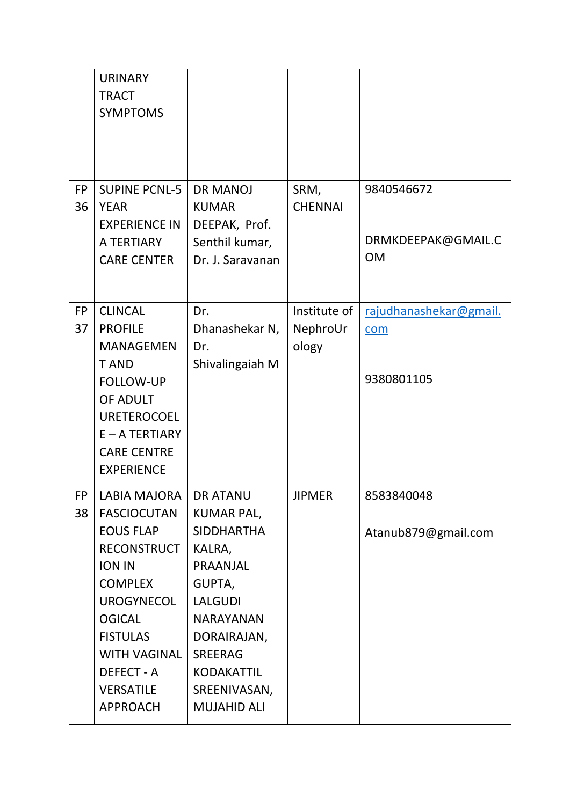|                 | <b>URINARY</b><br><b>TRACT</b><br><b>SYMPTOMS</b>                                                                                                                                                                                                                  |                                                                                                                                                                                                                             |                                   |                                               |
|-----------------|--------------------------------------------------------------------------------------------------------------------------------------------------------------------------------------------------------------------------------------------------------------------|-----------------------------------------------------------------------------------------------------------------------------------------------------------------------------------------------------------------------------|-----------------------------------|-----------------------------------------------|
| <b>FP</b><br>36 | <b>SUPINE PCNL-5</b><br><b>YEAR</b><br><b>EXPERIENCE IN</b><br>A TERTIARY<br><b>CARE CENTER</b>                                                                                                                                                                    | <b>DR MANOJ</b><br><b>KUMAR</b><br>DEEPAK, Prof.<br>Senthil kumar,<br>Dr. J. Saravanan                                                                                                                                      | SRM,<br><b>CHENNAI</b>            | 9840546672<br>DRMKDEEPAK@GMAIL.C<br><b>OM</b> |
| <b>FP</b><br>37 | <b>CLINCAL</b><br><b>PROFILE</b><br><b>MANAGEMEN</b><br><b>TAND</b><br><b>FOLLOW-UP</b><br>OF ADULT<br><b>URETEROCOEL</b><br>$E - A TERTIARY$<br><b>CARE CENTRE</b><br><b>EXPERIENCE</b>                                                                           | Dr.<br>Dhanashekar N,<br>Dr.<br>Shivalingaiah M                                                                                                                                                                             | Institute of<br>NephroUr<br>ology | rajudhanashekar@gmail.<br>com<br>9380801105   |
| FP<br>38        | <b>LABIA MAJORA</b><br><b>FASCIOCUTAN</b><br><b>EOUS FLAP</b><br><b>RECONSTRUCT</b><br><b>ION IN</b><br><b>COMPLEX</b><br><b>UROGYNECOL</b><br><b>OGICAL</b><br><b>FISTULAS</b><br><b>WITH VAGINAL</b><br><b>DEFECT - A</b><br><b>VERSATILE</b><br><b>APPROACH</b> | <b>DR ATANU</b><br><b>KUMAR PAL,</b><br><b>SIDDHARTHA</b><br>KALRA,<br>PRAANJAL<br>GUPTA,<br><b>LALGUDI</b><br><b>NARAYANAN</b><br>DORAIRAJAN,<br><b>SREERAG</b><br><b>KODAKATTIL</b><br>SREENIVASAN,<br><b>MUJAHID ALI</b> | <b>JIPMER</b>                     | 8583840048<br>Atanub879@gmail.com             |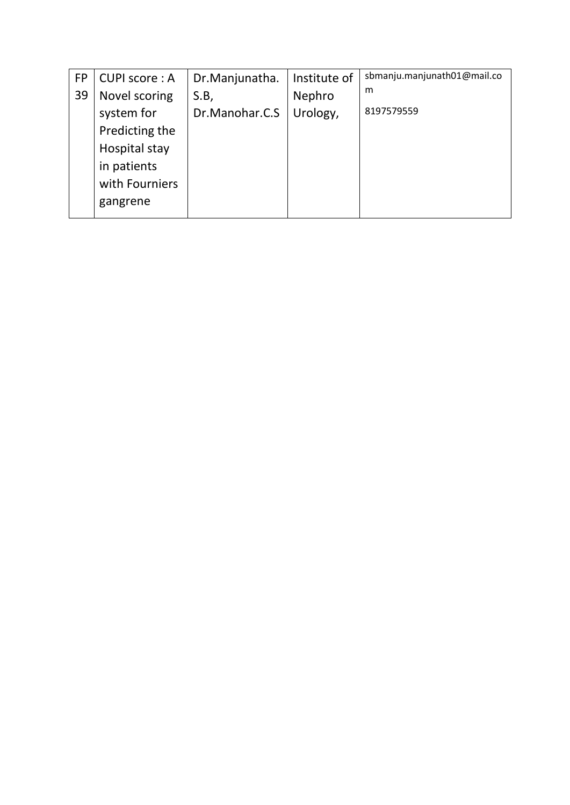| <b>FP</b> | <b>CUPI score: A</b> | Dr.Manjunatha. | Institute of | sbmanju.manjunath01@mail.co |
|-----------|----------------------|----------------|--------------|-----------------------------|
| 39        | Novel scoring        | S.B            | Nephro       | m                           |
|           | system for           | Dr.Manohar.C.S | Urology,     | 8197579559                  |
|           | Predicting the       |                |              |                             |
|           | Hospital stay        |                |              |                             |
|           | in patients          |                |              |                             |
|           | with Fourniers       |                |              |                             |
|           | gangrene             |                |              |                             |
|           |                      |                |              |                             |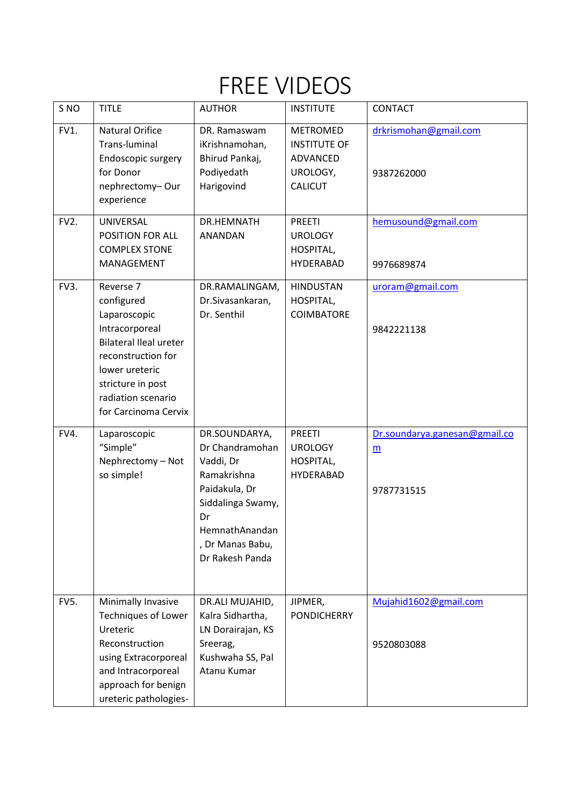### FREE VIDEOS

| S <sub>NO</sub>   | <b>TITLE</b>                                                                                                                                                                                          | <b>AUTHOR</b>                                                                                                                                                     | <b>INSTITUTE</b>                                                                 | CONTACT                                          |
|-------------------|-------------------------------------------------------------------------------------------------------------------------------------------------------------------------------------------------------|-------------------------------------------------------------------------------------------------------------------------------------------------------------------|----------------------------------------------------------------------------------|--------------------------------------------------|
| FV1.              | <b>Natural Orifice</b><br>Trans-luminal<br>Endoscopic surgery<br>for Donor<br>nephrectomy-Our<br>experience                                                                                           | DR. Ramaswam<br>iKrishnamohan,<br>Bhirud Pankaj,<br>Podiyedath<br>Harigovind                                                                                      | <b>METROMED</b><br><b>INSTITUTE OF</b><br>ADVANCED<br>UROLOGY,<br><b>CALICUT</b> | drkrismohan@gmail.com<br>9387262000              |
| FV <sub>2</sub> . | UNIVERSAL<br>POSITION FOR ALL<br><b>COMPLEX STONE</b><br>MANAGEMENT                                                                                                                                   | DR.HEMNATH<br>ANANDAN                                                                                                                                             | <b>PREETI</b><br><b>UROLOGY</b><br>HOSPITAL,<br><b>HYDERABAD</b>                 | hemusound@gmail.com<br>9976689874                |
| FV3.              | Reverse 7<br>configured<br>Laparoscopic<br>Intracorporeal<br><b>Bilateral Ileal ureter</b><br>reconstruction for<br>lower ureteric<br>stricture in post<br>radiation scenario<br>for Carcinoma Cervix | DR.RAMALINGAM,<br>Dr.Sivasankaran,<br>Dr. Senthil                                                                                                                 | <b>HINDUSTAN</b><br>HOSPITAL,<br><b>COIMBATORE</b>                               | uroram@gmail.com<br>9842221138                   |
| FV4.              | Laparoscopic<br>"Simple"<br>Nephrectomy - Not<br>so simple!                                                                                                                                           | DR.SOUNDARYA,<br>Dr Chandramohan<br>Vaddi, Dr<br>Ramakrishna<br>Paidakula, Dr<br>Siddalinga Swamy,<br>Dr<br>HemnathAnandan<br>, Dr Manas Babu,<br>Dr Rakesh Panda | <b>PREETI</b><br><b>UROLOGY</b><br>HOSPITAL,<br><b>HYDERABAD</b>                 | Dr.soundarya.ganesan@gmail.co<br>m<br>9787731515 |
| <b>FV5.</b>       | Minimally Invasive<br><b>Techniques of Lower</b><br>Ureteric<br>Reconstruction<br>using Extracorporeal<br>and Intracorporeal<br>approach for benign<br>ureteric pathologies-                          | DR.ALI MUJAHID,<br>Kalra Sidhartha,<br>LN Dorairajan, KS<br>Sreerag,<br>Kushwaha SS, Pal<br>Atanu Kumar                                                           | JIPMER,<br><b>PONDICHERRY</b>                                                    | Mujahid1602@gmail.com<br>9520803088              |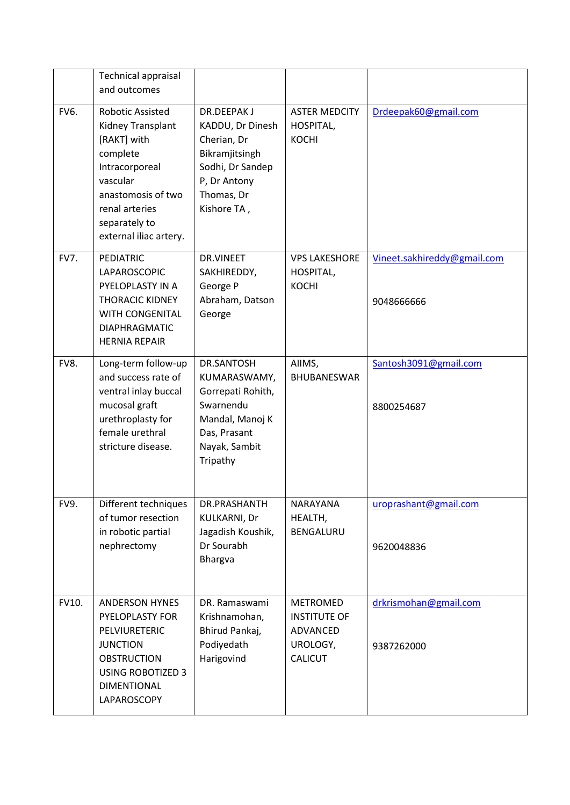|             | <b>Technical appraisal</b><br>and outcomes                                                                                                                                               |                                                                                                                                         |                                                                                  |                                           |
|-------------|------------------------------------------------------------------------------------------------------------------------------------------------------------------------------------------|-----------------------------------------------------------------------------------------------------------------------------------------|----------------------------------------------------------------------------------|-------------------------------------------|
| <b>FV6.</b> | <b>Robotic Assisted</b><br>Kidney Transplant<br>[RAKT] with<br>complete<br>Intracorporeal<br>vascular<br>anastomosis of two<br>renal arteries<br>separately to<br>external iliac artery. | <b>DR.DEEPAKJ</b><br>KADDU, Dr Dinesh<br>Cherian, Dr<br>Bikramjitsingh<br>Sodhi, Dr Sandep<br>P, Dr Antony<br>Thomas, Dr<br>Kishore TA, | <b>ASTER MEDCITY</b><br>HOSPITAL,<br><b>KOCHI</b>                                | Drdeepak60@gmail.com                      |
| FV7.        | <b>PEDIATRIC</b><br>LAPAROSCOPIC<br>PYELOPLASTY IN A<br><b>THORACIC KIDNEY</b><br>WITH CONGENITAL<br><b>DIAPHRAGMATIC</b><br><b>HERNIA REPAIR</b>                                        | DR.VINEET<br>SAKHIREDDY,<br>George P<br>Abraham, Datson<br>George                                                                       | <b>VPS LAKESHORE</b><br>HOSPITAL,<br><b>KOCHI</b>                                | Vineet.sakhireddy@gmail.com<br>9048666666 |
| FV8.        | Long-term follow-up<br>and success rate of<br>ventral inlay buccal<br>mucosal graft<br>urethroplasty for<br>female urethral<br>stricture disease.                                        | DR.SANTOSH<br>KUMARASWAMY,<br>Gorrepati Rohith,<br>Swarnendu<br>Mandal, Manoj K<br>Das, Prasant<br>Nayak, Sambit<br>Tripathy            | AIIMS,<br><b>BHUBANESWAR</b>                                                     | Santosh3091@gmail.com<br>8800254687       |
| FV9.        | Different techniques<br>of tumor resection<br>in robotic partial<br>nephrectomy                                                                                                          | DR.PRASHANTH<br>KULKARNI, Dr<br>Jagadish Koushik,<br>Dr Sourabh<br><b>Bhargva</b>                                                       | NARAYANA<br>HEALTH,<br>BENGALURU                                                 | uroprashant@gmail.com<br>9620048836       |
| FV10.       | <b>ANDERSON HYNES</b><br><b>PYELOPLASTY FOR</b><br>PELVIURETERIC<br><b>JUNCTION</b><br><b>OBSTRUCTION</b><br><b>USING ROBOTIZED 3</b><br><b>DIMENTIONAL</b><br>LAPAROSCOPY               | DR. Ramaswami<br>Krishnamohan,<br>Bhirud Pankaj,<br>Podiyedath<br>Harigovind                                                            | <b>METROMED</b><br><b>INSTITUTE OF</b><br>ADVANCED<br>UROLOGY,<br><b>CALICUT</b> | drkrismohan@gmail.com<br>9387262000       |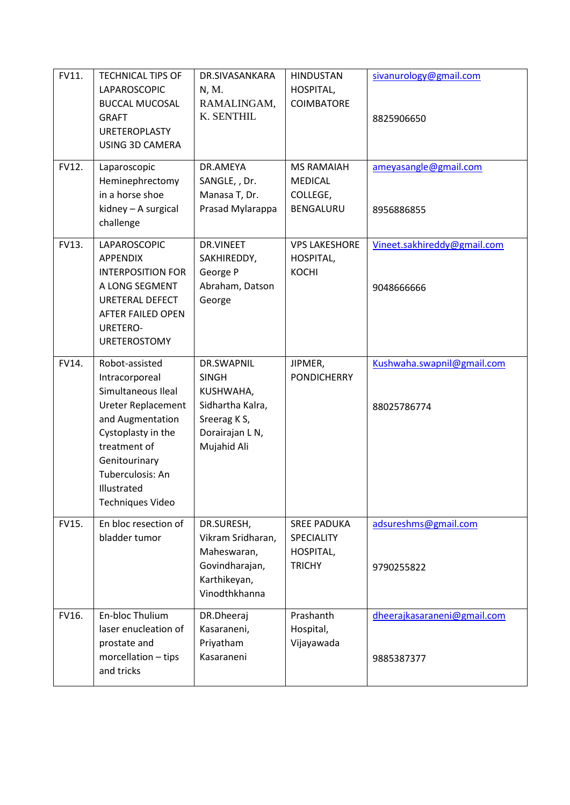| FV11.<br>FV12. | <b>TECHNICAL TIPS OF</b><br>LAPAROSCOPIC<br><b>BUCCAL MUCOSAL</b><br><b>GRAFT</b><br><b>URETEROPLASTY</b><br><b>USING 3D CAMERA</b><br>Laparoscopic                                                                          | DR.SIVASANKARA<br>N, M.<br>RAMALINGAM,<br>K. SENTHIL<br>DR.AMEYA                                              | <b>HINDUSTAN</b><br>HOSPITAL,<br><b>COIMBATORE</b><br><b>MS RAMAIAH</b> | sivanurology@gmail.com<br>8825906650<br>ameyasangle@gmail.com |
|----------------|------------------------------------------------------------------------------------------------------------------------------------------------------------------------------------------------------------------------------|---------------------------------------------------------------------------------------------------------------|-------------------------------------------------------------------------|---------------------------------------------------------------|
|                | Heminephrectomy<br>in a horse shoe<br>kidney - A surgical<br>challenge                                                                                                                                                       | SANGLE, , Dr.<br>Manasa T, Dr.<br>Prasad Mylarappa                                                            | <b>MEDICAL</b><br>COLLEGE,<br>BENGALURU                                 | 8956886855                                                    |
| FV13.          | LAPAROSCOPIC<br><b>APPENDIX</b><br><b>INTERPOSITION FOR</b><br>A LONG SEGMENT<br>URETERAL DEFECT<br>AFTER FAILED OPEN<br><b>URETERO-</b><br><b>URETEROSTOMY</b>                                                              | DR.VINEET<br>SAKHIREDDY,<br>George P<br>Abraham, Datson<br>George                                             | <b>VPS LAKESHORE</b><br>HOSPITAL,<br><b>KOCHI</b>                       | Vineet.sakhireddy@gmail.com<br>9048666666                     |
| FV14.          | Robot-assisted<br>Intracorporeal<br>Simultaneous Ileal<br><b>Ureter Replacement</b><br>and Augmentation<br>Cystoplasty in the<br>treatment of<br>Genitourinary<br>Tuberculosis: An<br>Illustrated<br><b>Techniques Video</b> | DR.SWAPNIL<br><b>SINGH</b><br>KUSHWAHA,<br>Sidhartha Kalra,<br>Sreerag K S,<br>Dorairajan L N,<br>Mujahid Ali | JIPMER,<br><b>PONDICHERRY</b>                                           | Kushwaha.swapnil@gmail.com<br>88025786774                     |
| FV15.          | En bloc resection of<br>bladder tumor                                                                                                                                                                                        | DR.SURESH,<br>Vikram Sridharan,<br>Maheswaran,<br>Govindharajan,<br>Karthikeyan,<br>Vinodthkhanna             | <b>SREE PADUKA</b><br>SPECIALITY<br>HOSPITAL,<br><b>TRICHY</b>          | adsureshms@gmail.com<br>9790255822                            |
| FV16.          | En-bloc Thulium<br>laser enucleation of<br>prostate and<br>morcellation - tips<br>and tricks                                                                                                                                 | DR.Dheeraj<br>Kasaraneni,<br>Priyatham<br>Kasaraneni                                                          | Prashanth<br>Hospital,<br>Vijayawada                                    | dheerajkasaraneni@gmail.com<br>9885387377                     |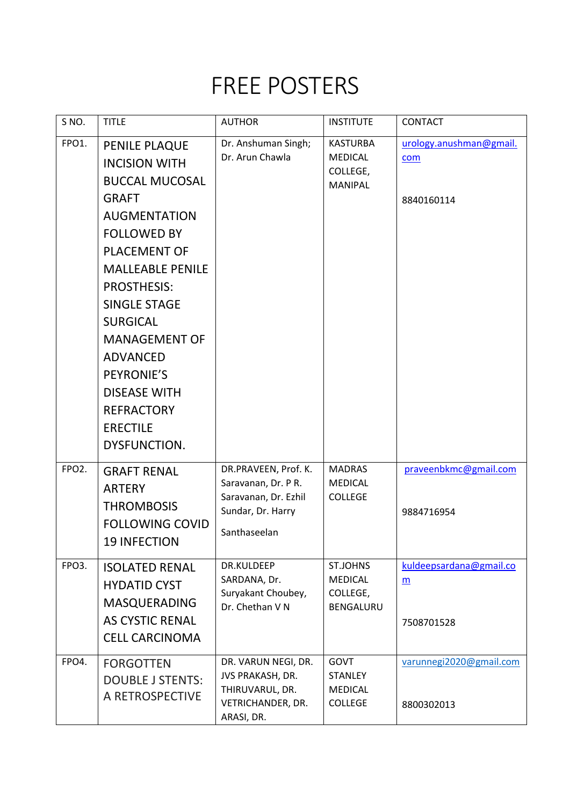### FREE POSTERS

| S <sub>NO</sub> .  | <b>TITLE</b>                                                                                                                                                                                                                                                                                                                                                                          | <b>AUTHOR</b>                                                                                            | <b>INSTITUTE</b>                                                  | <b>CONTACT</b>                               |
|--------------------|---------------------------------------------------------------------------------------------------------------------------------------------------------------------------------------------------------------------------------------------------------------------------------------------------------------------------------------------------------------------------------------|----------------------------------------------------------------------------------------------------------|-------------------------------------------------------------------|----------------------------------------------|
| FPO1.              | PENILE PLAQUE<br><b>INCISION WITH</b><br><b>BUCCAL MUCOSAL</b><br><b>GRAFT</b><br><b>AUGMENTATION</b><br><b>FOLLOWED BY</b><br><b>PLACEMENT OF</b><br><b>MALLEABLE PENILE</b><br><b>PROSTHESIS:</b><br><b>SINGLE STAGE</b><br><b>SURGICAL</b><br><b>MANAGEMENT OF</b><br><b>ADVANCED</b><br>PEYRONIE'S<br><b>DISEASE WITH</b><br><b>REFRACTORY</b><br><b>ERECTILE</b><br>DYSFUNCTION. | Dr. Anshuman Singh;<br>Dr. Arun Chawla                                                                   | <b>KASTURBA</b><br><b>MEDICAL</b><br>COLLEGE,<br><b>MANIPAL</b>   | urology.anushman@gmail.<br>com<br>8840160114 |
| FPO <sub>2</sub> . | <b>GRAFT RENAL</b><br><b>ARTERY</b><br><b>THROMBOSIS</b><br><b>FOLLOWING COVID</b><br><b>19 INFECTION</b>                                                                                                                                                                                                                                                                             | DR.PRAVEEN, Prof. K.<br>Saravanan, Dr. P R.<br>Saravanan, Dr. Ezhil<br>Sundar, Dr. Harry<br>Santhaseelan | <b>MADRAS</b><br><b>MEDICAL</b><br><b>COLLEGE</b>                 | praveenbkmc@gmail.com<br>9884716954          |
| FPO3.              | <b>ISOLATED RENAL</b><br><b>HYDATID CYST</b><br><b>MASQUERADING</b><br><b>AS CYSTIC RENAL</b><br><b>CELL CARCINOMA</b>                                                                                                                                                                                                                                                                | DR.KULDEEP<br>SARDANA, Dr.<br>Suryakant Choubey,<br>Dr. Chethan V N                                      | <b>ST.JOHNS</b><br><b>MEDICAL</b><br>COLLEGE,<br><b>BENGALURU</b> | kuldeepsardana@gmail.co<br>m<br>7508701528   |
| FPO4.              | <b>FORGOTTEN</b><br><b>DOUBLE J STENTS:</b><br>A RETROSPECTIVE                                                                                                                                                                                                                                                                                                                        | DR. VARUN NEGI, DR.<br>JVS PRAKASH, DR.<br>THIRUVARUL, DR.<br>VETRICHANDER, DR.<br>ARASI, DR.            | GOVT<br><b>STANLEY</b><br><b>MEDICAL</b><br><b>COLLEGE</b>        | varunnegi2020@gmail.com<br>8800302013        |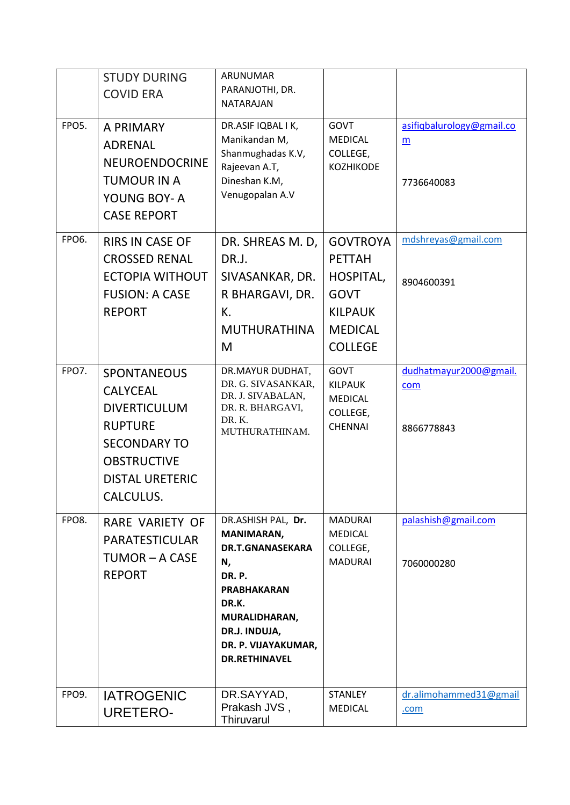|              | <b>STUDY DURING</b><br><b>COVID ERA</b>                                                                                                                            | ARUNUMAR<br>PARANJOTHI, DR.<br>NATARAJAN                                                                                                                                                   |                                                                                                                    |                                              |
|--------------|--------------------------------------------------------------------------------------------------------------------------------------------------------------------|--------------------------------------------------------------------------------------------------------------------------------------------------------------------------------------------|--------------------------------------------------------------------------------------------------------------------|----------------------------------------------|
| FPO5.        | A PRIMARY<br>ADRENAL<br><b>NEUROENDOCRINE</b><br><b>TUMOUR IN A</b><br>YOUNG BOY- A<br><b>CASE REPORT</b>                                                          | DR.ASIF IQBAL I K,<br>Manikandan M,<br>Shanmughadas K.V,<br>Rajeevan A.T,<br>Dineshan K.M,<br>Venugopalan A.V                                                                              | <b>GOVT</b><br><b>MEDICAL</b><br>COLLEGE,<br><b>KOZHIKODE</b>                                                      | asifigbalurology@gmail.co<br>m<br>7736640083 |
| <b>FPO6.</b> | <b>RIRS IN CASE OF</b><br><b>CROSSED RENAL</b><br><b>ECTOPIA WITHOUT</b><br><b>FUSION: A CASE</b><br><b>REPORT</b>                                                 | DR. SHREAS M. D,<br>DR.J.<br>SIVASANKAR, DR.<br>R BHARGAVI, DR.<br>K.<br><b>MUTHURATHINA</b><br>M                                                                                          | <b>GOVTROYA</b><br><b>PETTAH</b><br>HOSPITAL,<br><b>GOVT</b><br><b>KILPAUK</b><br><b>MEDICAL</b><br><b>COLLEGE</b> | mdshreyas@gmail.com<br>8904600391            |
| FPO7.        | <b>SPONTANEOUS</b><br><b>CALYCEAL</b><br><b>DIVERTICULUM</b><br><b>RUPTURE</b><br><b>SECONDARY TO</b><br><b>OBSTRUCTIVE</b><br><b>DISTAL URETERIC</b><br>CALCULUS. | DR.MAYUR DUDHAT,<br>DR. G. SIVASANKAR,<br>DR. J. SIVABALAN,<br>DR. R. BHARGAVI,<br>DR.K.<br>MUTHURATHINAM.                                                                                 | <b>GOVT</b><br><b>KILPAUK</b><br><b>MEDICAL</b><br>COLLEGE,<br><b>CHENNAI</b>                                      | dudhatmayur2000@gmail.<br>com<br>8866778843  |
| FPO8.        | <b>RARE VARIETY OF</b><br><b>PARATESTICULAR</b><br>TUMOR - A CASE<br><b>REPORT</b>                                                                                 | DR.ASHISH PAL, Dr.<br><b>MANIMARAN,</b><br>DR.T.GNANASEKARA<br>N,<br>DR.P.<br><b>PRABHAKARAN</b><br>DR.K.<br>MURALIDHARAN,<br>DR.J. INDUJA,<br>DR. P. VIJAYAKUMAR,<br><b>DR.RETHINAVEL</b> | <b>MADURAI</b><br><b>MEDICAL</b><br>COLLEGE,<br><b>MADURAI</b>                                                     | palashish@gmail.com<br>7060000280            |
| FPO9.        | <b>IATROGENIC</b><br><b>URETERO-</b>                                                                                                                               | DR.SAYYAD,<br>Prakash JVS,<br>Thiruvarul                                                                                                                                                   | <b>STANLEY</b><br><b>MEDICAL</b>                                                                                   | dr.alimohammed31@gmail<br>.com               |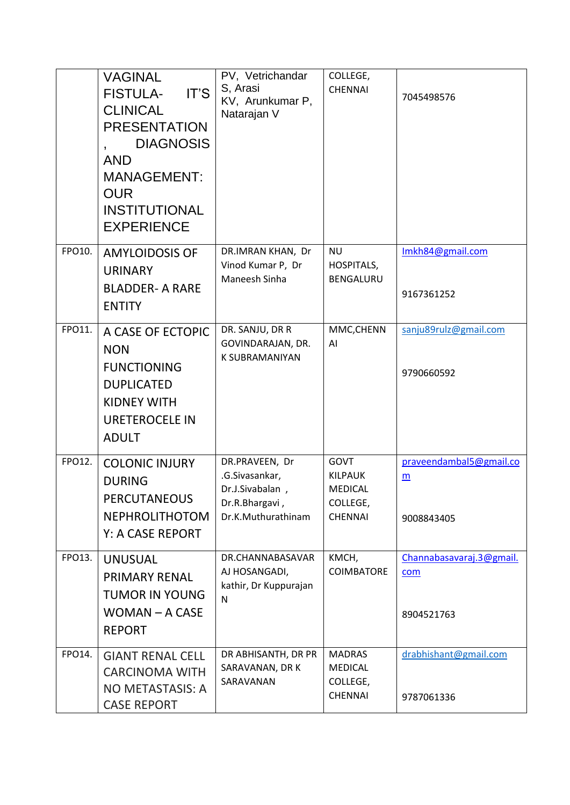|        | <b>VAGINAL</b><br>IT'S<br><b>FISTULA-</b><br><b>CLINICAL</b><br><b>PRESENTATION</b><br><b>DIAGNOSIS</b><br><b>AND</b><br><b>MANAGEMENT:</b><br><b>OUR</b><br><b>INSTITUTIONAL</b><br><b>EXPERIENCE</b> | PV, Vetrichandar<br>S, Arasi<br>KV, Arunkumar P,<br>Natarajan V                             | COLLEGE,<br><b>CHENNAI</b>                                                    | 7045498576                                    |
|--------|--------------------------------------------------------------------------------------------------------------------------------------------------------------------------------------------------------|---------------------------------------------------------------------------------------------|-------------------------------------------------------------------------------|-----------------------------------------------|
| FPO10. | <b>AMYLOIDOSIS OF</b><br><b>URINARY</b><br><b>BLADDER- A RARE</b><br><b>ENTITY</b>                                                                                                                     | DR.IMRAN KHAN, Dr<br>Vinod Kumar P, Dr<br>Maneesh Sinha                                     | <b>NU</b><br>HOSPITALS,<br>BENGALURU                                          | Imkh84@gmail.com<br>9167361252                |
| FPO11. | A CASE OF ECTOPIC<br><b>NON</b><br><b>FUNCTIONING</b><br><b>DUPLICATED</b><br><b>KIDNEY WITH</b><br><b>URETEROCELE IN</b><br><b>ADULT</b>                                                              | DR. SANJU, DR R<br>GOVINDARAJAN, DR.<br>K SUBRAMANIYAN                                      | MMC,CHENN<br>AI                                                               | sanju89rulz@gmail.com<br>9790660592           |
| FPO12. | <b>COLONIC INJURY</b><br><b>DURING</b><br><b>PERCUTANEOUS</b><br><b>NEPHROLITHOTOM</b><br><b>Y: A CASE REPORT</b>                                                                                      | DR.PRAVEEN, Dr<br>.G.Sivasankar,<br>Dr.J.Sivabalan,<br>Dr.R.Bhargavi,<br>Dr.K.Muthurathinam | <b>GOVT</b><br><b>KILPAUK</b><br><b>MEDICAL</b><br>COLLEGE,<br><b>CHENNAI</b> | praveendambal5@gmail.co<br>m<br>9008843405    |
| FPO13. | <b>UNUSUAL</b><br><b>PRIMARY RENAL</b><br><b>TUMOR IN YOUNG</b><br>$WOMAN - A CASE$<br><b>REPORT</b>                                                                                                   | DR.CHANNABASAVAR<br>AJ HOSANGADI,<br>kathir, Dr Kuppurajan<br>N                             | KMCH,<br><b>COIMBATORE</b>                                                    | Channabasavaraj.3@gmail.<br>com<br>8904521763 |
| FPO14. | <b>GIANT RENAL CELL</b><br><b>CARCINOMA WITH</b><br>NO METASTASIS: A<br><b>CASE REPORT</b>                                                                                                             | DR ABHISANTH, DR PR<br>SARAVANAN, DR K<br>SARAVANAN                                         | <b>MADRAS</b><br>MEDICAL<br>COLLEGE,<br><b>CHENNAI</b>                        | drabhishant@gmail.com<br>9787061336           |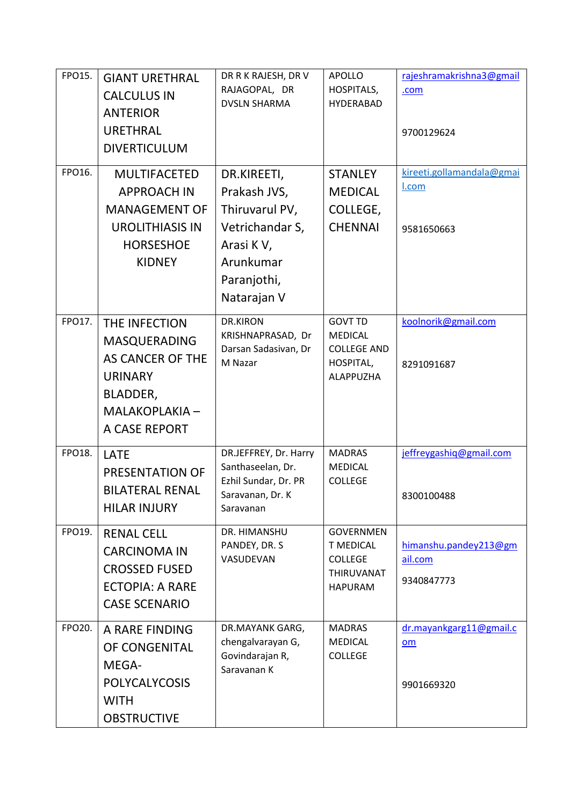| FPO15. | <b>GIANT URETHRAL</b><br><b>CALCULUS IN</b>                                                                                      | DR R K RAJESH, DR V<br>RAJAGOPAL, DR<br><b>DVSLN SHARMA</b>                                                              | <b>APOLLO</b><br>HOSPITALS,<br><b>HYDERABAD</b>                                               | rajeshramakrishna3@gmail<br>.com                 |
|--------|----------------------------------------------------------------------------------------------------------------------------------|--------------------------------------------------------------------------------------------------------------------------|-----------------------------------------------------------------------------------------------|--------------------------------------------------|
|        | <b>ANTERIOR</b><br><b>URETHRAL</b><br><b>DIVERTICULUM</b>                                                                        |                                                                                                                          |                                                                                               | 9700129624                                       |
| FPO16. | <b>MULTIFACETED</b><br><b>APPROACH IN</b><br><b>MANAGEMENT OF</b><br><b>UROLITHIASIS IN</b><br><b>HORSESHOE</b><br><b>KIDNEY</b> | DR.KIREETI,<br>Prakash JVS,<br>Thiruvarul PV,<br>Vetrichandar S,<br>Arasi KV,<br>Arunkumar<br>Paranjothi,<br>Natarajan V | <b>STANLEY</b><br><b>MEDICAL</b><br>COLLEGE,<br><b>CHENNAI</b>                                | kireeti.gollamandala@gmai<br>I.com<br>9581650663 |
| FPO17. | THE INFECTION<br><b>MASQUERADING</b><br>AS CANCER OF THE<br><b>URINARY</b><br>BLADDER,<br>MALAKOPLAKIA -<br>A CASE REPORT        | <b>DR.KIRON</b><br>KRISHNAPRASAD, Dr<br>Darsan Sadasivan, Dr<br>M Nazar                                                  | <b>GOVT TD</b><br><b>MEDICAL</b><br><b>COLLEGE AND</b><br>HOSPITAL,<br>ALAPPUZHA              | koolnorik@gmail.com<br>8291091687                |
| FPO18. | <b>LATE</b><br><b>PRESENTATION OF</b><br><b>BILATERAL RENAL</b><br><b>HILAR INJURY</b>                                           | DR.JEFFREY, Dr. Harry<br>Santhaseelan, Dr.<br>Ezhil Sundar, Dr. PR<br>Saravanan, Dr. K<br>Saravanan                      | <b>MADRAS</b><br><b>MEDICAL</b><br><b>COLLEGE</b>                                             | jeffreygashiq@gmail.com<br>8300100488            |
| FPO19. | <b>RENAL CELL</b><br><b>CARCINOMA IN</b><br><b>CROSSED FUSED</b><br><b>ECTOPIA: A RARE</b><br><b>CASE SCENARIO</b>               | DR. HIMANSHU<br>PANDEY, DR. S<br>VASUDEVAN                                                                               | <b>GOVERNMEN</b><br><b>T MEDICAL</b><br><b>COLLEGE</b><br><b>THIRUVANAT</b><br><b>HAPURAM</b> | himanshu.pandey213@gm<br>ail.com<br>9340847773   |
| FPO20. | A RARE FINDING<br>OF CONGENITAL<br>MEGA-<br><b>POLYCALYCOSIS</b><br><b>WITH</b><br><b>OBSTRUCTIVE</b>                            | DR.MAYANK GARG,<br>chengalvarayan G,<br>Govindarajan R,<br>Saravanan K                                                   | <b>MADRAS</b><br><b>MEDICAL</b><br><b>COLLEGE</b>                                             | dr.mayankgarg11@gmail.c<br>om<br>9901669320      |